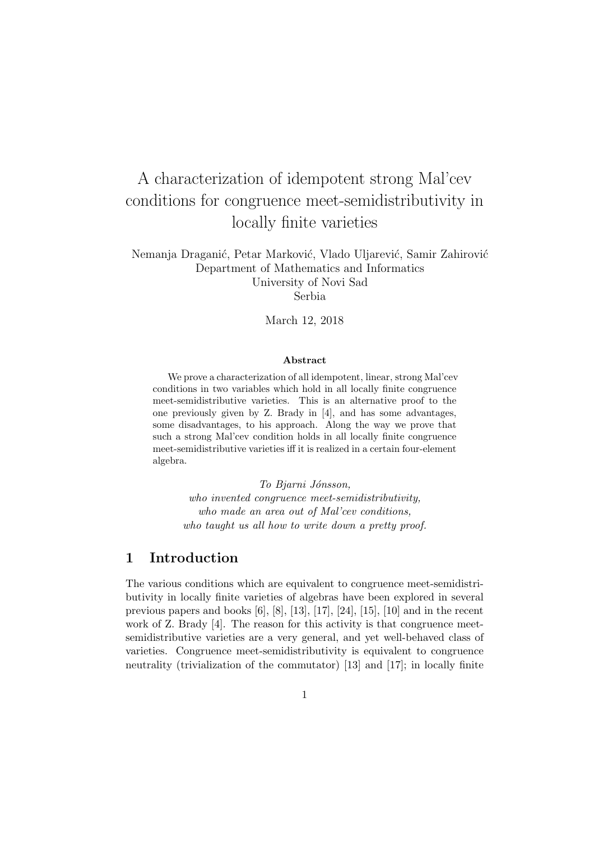# A characterization of idempotent strong Mal'cev conditions for congruence meet-semidistributivity in locally finite varieties

Nemanja Draganić, Petar Marković, Vlado Uljarević, Samir Zahirović Department of Mathematics and Informatics University of Novi Sad Serbia

March 12, 2018

#### Abstract

We prove a characterization of all idempotent, linear, strong Mal'cev conditions in two variables which hold in all locally finite congruence meet-semidistributive varieties. This is an alternative proof to the one previously given by Z. Brady in [4], and has some advantages, some disadvantages, to his approach. Along the way we prove that such a strong Mal'cev condition holds in all locally finite congruence meet-semidistributive varieties iff it is realized in a certain four-element algebra.

To Bjarni Jónsson, who invented congruence meet-semidistributivity, who made an area out of Mal'cev conditions, who taught us all how to write down a pretty proof.

## 1 Introduction

The various conditions which are equivalent to congruence meet-semidistributivity in locally finite varieties of algebras have been explored in several previous papers and books [6], [8], [13], [17], [24], [15], [10] and in the recent work of Z. Brady [4]. The reason for this activity is that congruence meetsemidistributive varieties are a very general, and yet well-behaved class of varieties. Congruence meet-semidistributivity is equivalent to congruence neutrality (trivialization of the commutator) [13] and [17]; in locally finite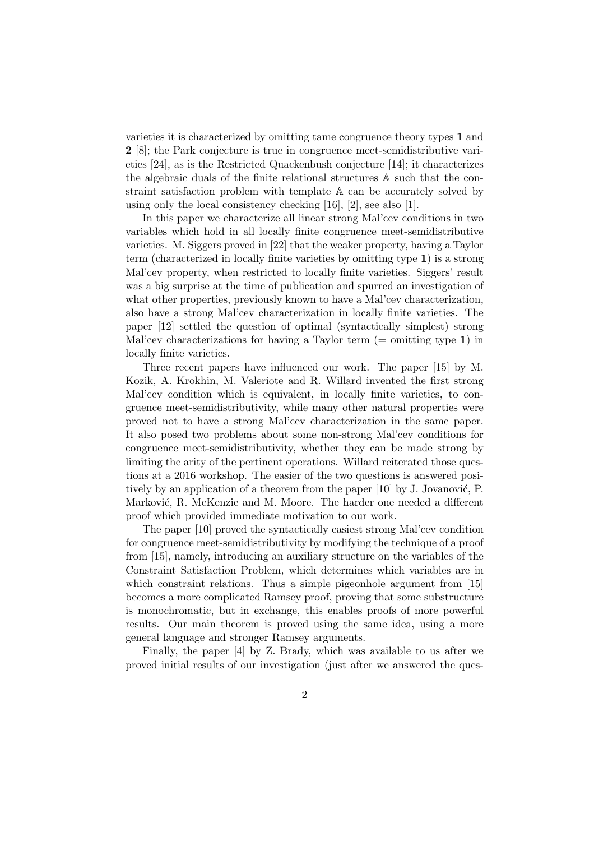varieties it is characterized by omitting tame congruence theory types 1 and 2 [8]; the Park conjecture is true in congruence meet-semidistributive varieties [24], as is the Restricted Quackenbush conjecture [14]; it characterizes the algebraic duals of the finite relational structures A such that the constraint satisfaction problem with template A can be accurately solved by using only the local consistency checking [16], [2], see also [1].

In this paper we characterize all linear strong Mal'cev conditions in two variables which hold in all locally finite congruence meet-semidistributive varieties. M. Siggers proved in [22] that the weaker property, having a Taylor term (characterized in locally finite varieties by omitting type 1) is a strong Mal'cev property, when restricted to locally finite varieties. Siggers' result was a big surprise at the time of publication and spurred an investigation of what other properties, previously known to have a Mal'cev characterization, also have a strong Mal'cev characterization in locally finite varieties. The paper [12] settled the question of optimal (syntactically simplest) strong Mal'cev characterizations for having a Taylor term  $(=$  omitting type 1) in locally finite varieties.

Three recent papers have influenced our work. The paper [15] by M. Kozik, A. Krokhin, M. Valeriote and R. Willard invented the first strong Mal'cev condition which is equivalent, in locally finite varieties, to congruence meet-semidistributivity, while many other natural properties were proved not to have a strong Mal'cev characterization in the same paper. It also posed two problems about some non-strong Mal'cev conditions for congruence meet-semidistributivity, whether they can be made strong by limiting the arity of the pertinent operations. Willard reiterated those questions at a 2016 workshop. The easier of the two questions is answered positively by an application of a theorem from the paper  $[10]$  by J. Jovanović, P. Marković, R. McKenzie and M. Moore. The harder one needed a different proof which provided immediate motivation to our work.

The paper [10] proved the syntactically easiest strong Mal'cev condition for congruence meet-semidistributivity by modifying the technique of a proof from [15], namely, introducing an auxiliary structure on the variables of the Constraint Satisfaction Problem, which determines which variables are in which constraint relations. Thus a simple pigeonhole argument from [15] becomes a more complicated Ramsey proof, proving that some substructure is monochromatic, but in exchange, this enables proofs of more powerful results. Our main theorem is proved using the same idea, using a more general language and stronger Ramsey arguments.

Finally, the paper [4] by Z. Brady, which was available to us after we proved initial results of our investigation (just after we answered the ques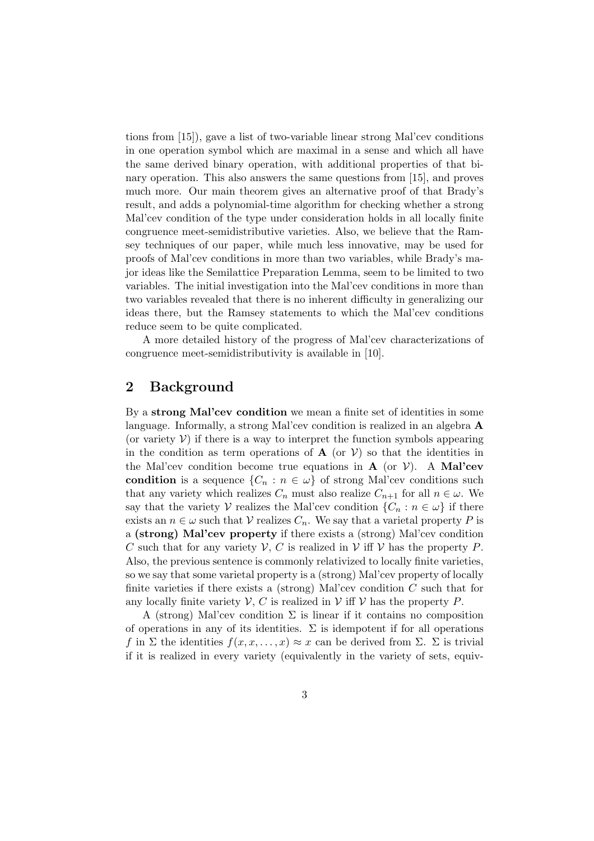tions from [15]), gave a list of two-variable linear strong Mal'cev conditions in one operation symbol which are maximal in a sense and which all have the same derived binary operation, with additional properties of that binary operation. This also answers the same questions from [15], and proves much more. Our main theorem gives an alternative proof of that Brady's result, and adds a polynomial-time algorithm for checking whether a strong Mal'cev condition of the type under consideration holds in all locally finite congruence meet-semidistributive varieties. Also, we believe that the Ramsey techniques of our paper, while much less innovative, may be used for proofs of Mal'cev conditions in more than two variables, while Brady's major ideas like the Semilattice Preparation Lemma, seem to be limited to two variables. The initial investigation into the Mal'cev conditions in more than two variables revealed that there is no inherent difficulty in generalizing our ideas there, but the Ramsey statements to which the Mal'cev conditions reduce seem to be quite complicated.

A more detailed history of the progress of Mal'cev characterizations of congruence meet-semidistributivity is available in [10].

## 2 Background

By a strong Mal'cev condition we mean a finite set of identities in some language. Informally, a strong Mal'cev condition is realized in an algebra A (or variety  $V$ ) if there is a way to interpret the function symbols appearing in the condition as term operations of  $A$  (or  $V$ ) so that the identities in the Mal'cev condition become true equations in  $A$  (or  $V$ ). A Mal'cev condition is a sequence  $\{C_n : n \in \omega\}$  of strong Mal'cev conditions such that any variety which realizes  $C_n$  must also realize  $C_{n+1}$  for all  $n \in \omega$ . We say that the variety V realizes the Mal'cev condition  $\{C_n : n \in \omega\}$  if there exists an  $n \in \omega$  such that  $\mathcal V$  realizes  $C_n$ . We say that a varietal property P is a (strong) Mal'cev property if there exists a (strong) Mal'cev condition C such that for any variety  $V, C$  is realized in  $V$  iff  $V$  has the property P. Also, the previous sentence is commonly relativized to locally finite varieties, so we say that some varietal property is a (strong) Mal'cev property of locally finite varieties if there exists a (strong) Mal'cev condition  $C$  such that for any locally finite variety  $V, C$  is realized in V iff V has the property P.

A (strong) Mal'cev condition  $\Sigma$  is linear if it contains no composition of operations in any of its identities.  $\Sigma$  is idempotent if for all operations f in Σ the identities  $f(x, x, \ldots, x) \approx x$  can be derived from Σ. Σ is trivial if it is realized in every variety (equivalently in the variety of sets, equiv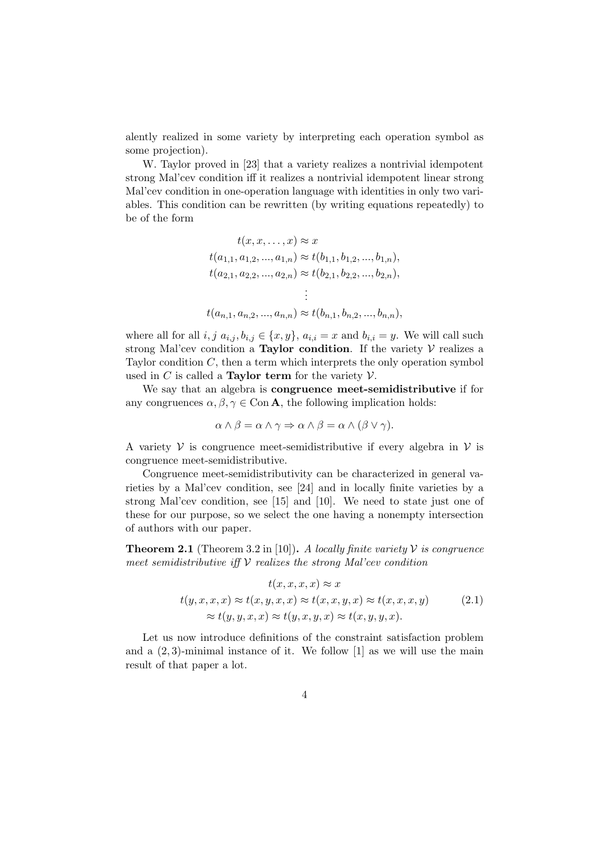alently realized in some variety by interpreting each operation symbol as some projection).

W. Taylor proved in [23] that a variety realizes a nontrivial idempotent strong Mal'cev condition iff it realizes a nontrivial idempotent linear strong Mal'cev condition in one-operation language with identities in only two variables. This condition can be rewritten (by writing equations repeatedly) to be of the form

$$
t(x, x, ..., x) \approx x
$$
  
\n
$$
t(a_{1,1}, a_{1,2}, ..., a_{1,n}) \approx t(b_{1,1}, b_{1,2}, ..., b_{1,n}),
$$
  
\n
$$
t(a_{2,1}, a_{2,2}, ..., a_{2,n}) \approx t(b_{2,1}, b_{2,2}, ..., b_{2,n}),
$$
  
\n
$$
\vdots
$$
  
\n
$$
t(a_{n,1}, a_{n,2}, ..., a_{n,n}) \approx t(b_{n,1}, b_{n,2}, ..., b_{n,n}),
$$

where all for all  $i, j \ a_{i,j}, b_{i,j} \in \{x, y\}, a_{i,i} = x$  and  $b_{i,i} = y$ . We will call such strong Mal'cev condition a Taylor condition. If the variety  $\mathcal V$  realizes a Taylor condition  $C$ , then a term which interprets the only operation symbol used in C is called a **Taylor term** for the variety  $V$ .

We say that an algebra is congruence meet-semidistributive if for any congruences  $\alpha, \beta, \gamma \in \text{Con } A$ , the following implication holds:

$$
\alpha \wedge \beta = \alpha \wedge \gamma \Rightarrow \alpha \wedge \beta = \alpha \wedge (\beta \vee \gamma).
$$

A variety  $V$  is congruence meet-semidistributive if every algebra in  $V$  is congruence meet-semidistributive.

Congruence meet-semidistributivity can be characterized in general varieties by a Mal'cev condition, see [24] and in locally finite varieties by a strong Mal'cev condition, see [15] and [10]. We need to state just one of these for our purpose, so we select the one having a nonempty intersection of authors with our paper.

**Theorem 2.1** (Theorem 3.2 in [10]). A locally finite variety  $V$  is congruence meet semidistributive iff  $V$  realizes the strong Mal'cev condition

$$
t(x, x, x, x) \approx x
$$
  
\n
$$
t(y, x, x, x) \approx t(x, y, x, x) \approx t(x, x, y, x) \approx t(x, x, x, y)
$$
 (2.1)  
\n
$$
\approx t(y, y, x, x) \approx t(y, x, y, x) \approx t(x, y, y, x).
$$

Let us now introduce definitions of the constraint satisfaction problem and a  $(2, 3)$ -minimal instance of it. We follow  $[1]$  as we will use the main result of that paper a lot.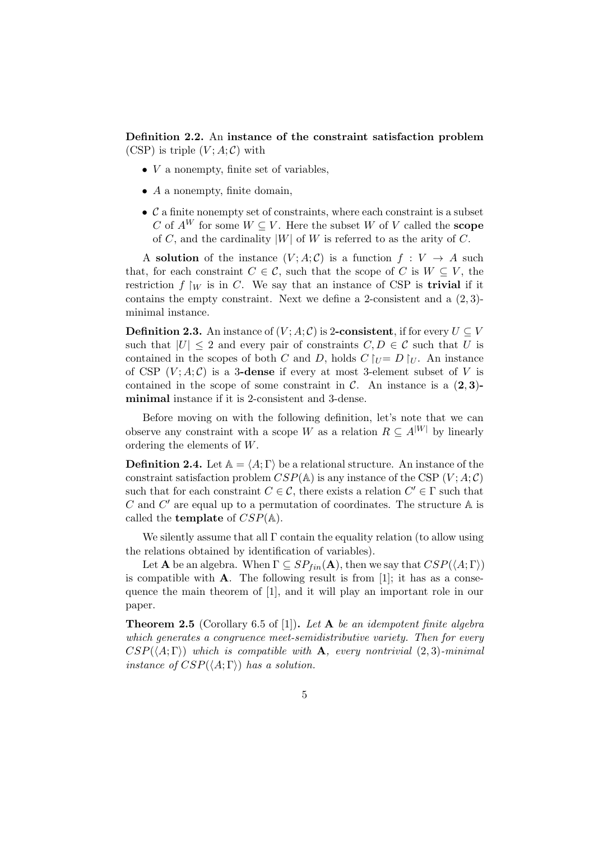Definition 2.2. An instance of the constraint satisfaction problem (CSP) is triple  $(V; A; C)$  with

- $\bullet$  V a nonempty, finite set of variables,
- $\bullet$  A a nonempty, finite domain,
- $\bullet$   $\mathcal C$  a finite nonempty set of constraints, where each constraint is a subset C of  $A^W$  for some  $W \subseteq V$ . Here the subset W of V called the **scope** of C, and the cardinality  $|W|$  of W is referred to as the arity of C.

A solution of the instance  $(V; A; C)$  is a function  $f: V \to A$  such that, for each constraint  $C \in \mathcal{C}$ , such that the scope of C is  $W \subseteq V$ , the restriction  $f \mid_W$  is in C. We say that an instance of CSP is **trivial** if it contains the empty constraint. Next we define a 2-consistent and a  $(2,3)$ minimal instance.

**Definition 2.3.** An instance of  $(V; A; C)$  is 2-consistent, if for every  $U \subseteq V$ such that  $|U| \leq 2$  and every pair of constraints  $C, D \in \mathcal{C}$  such that U is contained in the scopes of both C and D, holds  $C \upharpoonright_{U} = D \upharpoonright_{U}$ . An instance of CSP  $(V; A; C)$  is a 3-dense if every at most 3-element subset of V is contained in the scope of some constraint in  $\mathcal{C}$ . An instance is a  $(2, 3)$ minimal instance if it is 2-consistent and 3-dense.

Before moving on with the following definition, let's note that we can observe any constraint with a scope W as a relation  $R \subseteq A^{|W|}$  by linearly ordering the elements of W.

**Definition 2.4.** Let  $A = \langle A; \Gamma \rangle$  be a relational structure. An instance of the constraint satisfaction problem  $CSP(A)$  is any instance of the CSP  $(V; A; C)$ such that for each constraint  $C \in \mathcal{C}$ , there exists a relation  $C' \in \Gamma$  such that C and  $C'$  are equal up to a permutation of coordinates. The structure  $A$  is called the **template** of  $CSP(A)$ .

We silently assume that all  $\Gamma$  contain the equality relation (to allow using the relations obtained by identification of variables).

Let **A** be an algebra. When  $\Gamma \subseteq SP_{fin}(A)$ , then we say that  $CSP(\langle A; \Gamma \rangle)$ is compatible with  $A$ . The following result is from [1]; it has as a consequence the main theorem of [1], and it will play an important role in our paper.

**Theorem 2.5** (Corollary 6.5 of [1]). Let **A** be an idempotent finite algebra which generates a congruence meet-semidistributive variety. Then for every  $CSP(\langle A; \Gamma \rangle)$  which is compatible with **A**, every nontrivial (2,3)-minimal instance of  $CSP(\langle A; \Gamma \rangle)$  has a solution.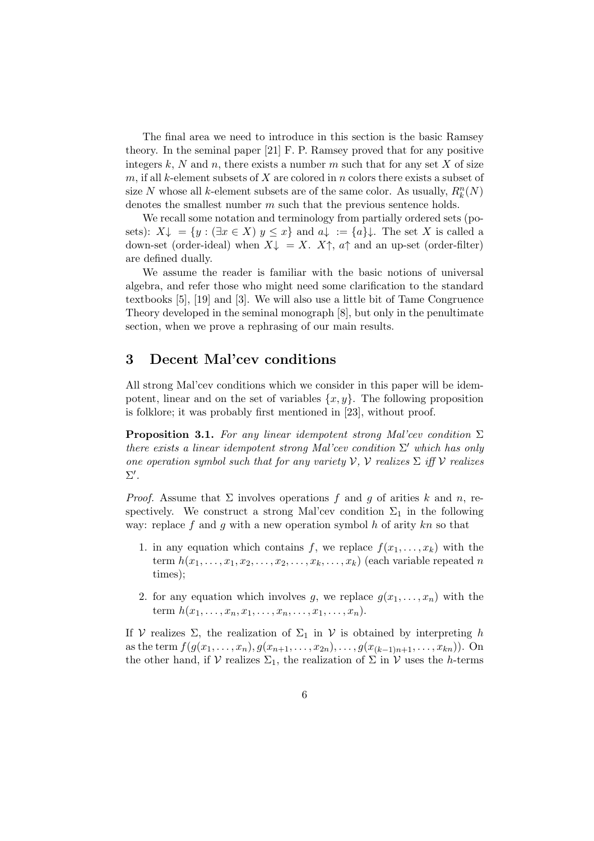The final area we need to introduce in this section is the basic Ramsey theory. In the seminal paper [21] F. P. Ramsey proved that for any positive integers k, N and n, there exists a number m such that for any set X of size m, if all k-element subsets of  $X$  are colored in n colors there exists a subset of size N whose all k-element subsets are of the same color. As usually,  $R_k^n(N)$ denotes the smallest number m such that the previous sentence holds.

We recall some notation and terminology from partially ordered sets (posets):  $X\downarrow = \{y : (\exists x \in X) y \leq x\}$  and  $a\downarrow := \{a\}\downarrow$ . The set X is called a down-set (order-ideal) when  $X\downarrow = X$ .  $X\uparrow$ ,  $a\uparrow$  and an up-set (order-filter) are defined dually.

We assume the reader is familiar with the basic notions of universal algebra, and refer those who might need some clarification to the standard textbooks [5], [19] and [3]. We will also use a little bit of Tame Congruence Theory developed in the seminal monograph [8], but only in the penultimate section, when we prove a rephrasing of our main results.

### 3 Decent Mal'cev conditions

All strong Mal'cev conditions which we consider in this paper will be idempotent, linear and on the set of variables  $\{x, y\}$ . The following proposition is folklore; it was probably first mentioned in [23], without proof.

**Proposition 3.1.** For any linear idempotent strong Mal'cev condition  $\Sigma$ there exists a linear idempotent strong Mal'cev condition  $\Sigma'$  which has only one operation symbol such that for any variety  $V, V$  realizes  $\Sigma$  iff  $V$  realizes  $\Sigma'.$ 

*Proof.* Assume that  $\Sigma$  involves operations f and q of arities k and n, respectively. We construct a strong Mal'cev condition  $\Sigma_1$  in the following way: replace  $f$  and  $g$  with a new operation symbol  $h$  of arity  $kn$  so that

- 1. in any equation which contains f, we replace  $f(x_1, \ldots, x_k)$  with the term  $h(x_1, \ldots, x_1, x_2, \ldots, x_2, \ldots, x_k, \ldots, x_k)$  (each variable repeated n times);
- 2. for any equation which involves g, we replace  $g(x_1, \ldots, x_n)$  with the term  $h(x_1, \ldots, x_n, x_1, \ldots, x_n, \ldots, x_1, \ldots, x_n).$

If V realizes  $\Sigma$ , the realization of  $\Sigma_1$  in V is obtained by interpreting h as the term  $f(g(x_1, \ldots, x_n), g(x_{n+1}, \ldots, x_{2n}), \ldots, g(x_{(k-1)n+1}, \ldots, x_{kn}))$ . On the other hand, if V realizes  $\Sigma_1$ , the realization of  $\Sigma$  in V uses the h-terms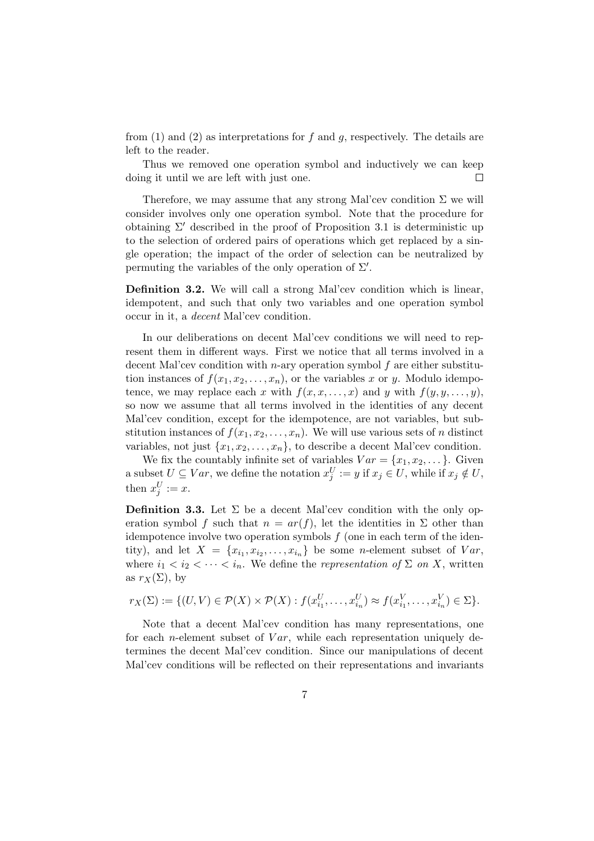from (1) and (2) as interpretations for f and q, respectively. The details are left to the reader.

Thus we removed one operation symbol and inductively we can keep doing it until we are left with just one.  $\Box$ 

Therefore, we may assume that any strong Mal'cev condition  $\Sigma$  we will consider involves only one operation symbol. Note that the procedure for obtaining  $\Sigma'$  described in the proof of Proposition 3.1 is deterministic up to the selection of ordered pairs of operations which get replaced by a single operation; the impact of the order of selection can be neutralized by permuting the variables of the only operation of  $\Sigma'$ .

Definition 3.2. We will call a strong Mal'cev condition which is linear, idempotent, and such that only two variables and one operation symbol occur in it, a decent Mal'cev condition.

In our deliberations on decent Mal'cev conditions we will need to represent them in different ways. First we notice that all terms involved in a decent Mal'cev condition with *n*-ary operation symbol  $f$  are either substitution instances of  $f(x_1, x_2, \ldots, x_n)$ , or the variables x or y. Modulo idempotence, we may replace each x with  $f(x, x, \ldots, x)$  and y with  $f(y, y, \ldots, y)$ , so now we assume that all terms involved in the identities of any decent Mal'cev condition, except for the idempotence, are not variables, but substitution instances of  $f(x_1, x_2, \ldots, x_n)$ . We will use various sets of n distinct variables, not just  $\{x_1, x_2, \ldots, x_n\}$ , to describe a decent Mal'cev condition.

We fix the countably infinite set of variables  $Var = \{x_1, x_2, \dots\}$ . Given a subset  $U \subseteq Var$ , we define the notation  $x_j^U := y$  if  $x_j \in U$ , while if  $x_j \notin U$ , then  $x_j^U := x$ .

**Definition 3.3.** Let  $\Sigma$  be a decent Mal'cev condition with the only operation symbol f such that  $n = ar(f)$ , let the identities in  $\Sigma$  other than idempotence involve two operation symbols  $f$  (one in each term of the identity), and let  $X = \{x_{i_1}, x_{i_2}, \ldots, x_{i_n}\}\)$  be some *n*-element subset of  $Var$ , where  $i_1 < i_2 < \cdots < i_n$ . We define the *representation of*  $\Sigma$  *on* X, written as  $r_X(\Sigma)$ , by

$$
r_X(\Sigma) := \{ (U,V) \in \mathcal{P}(X) \times \mathcal{P}(X) : f(x_{i_1}^U, \ldots, x_{i_n}^U) \approx f(x_{i_1}^V, \ldots, x_{i_n}^V) \in \Sigma \}.
$$

Note that a decent Mal'cev condition has many representations, one for each *n*-element subset of  $Var$ , while each representation uniquely determines the decent Mal'cev condition. Since our manipulations of decent Mal'cev conditions will be reflected on their representations and invariants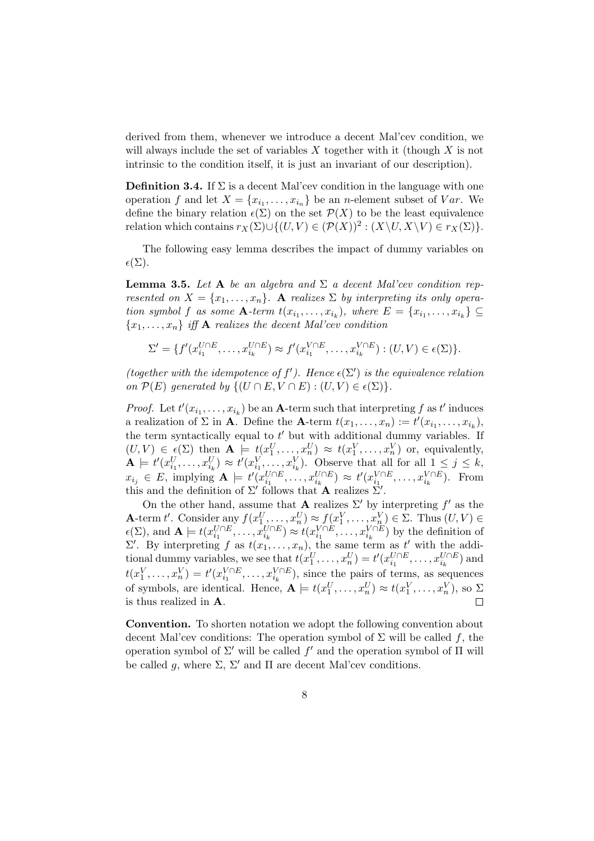derived from them, whenever we introduce a decent Mal'cev condition, we will always include the set of variables X together with it (though  $X$  is not intrinsic to the condition itself, it is just an invariant of our description).

**Definition 3.4.** If  $\Sigma$  is a decent Mal'cev condition in the language with one operation f and let  $X = \{x_{i_1}, \ldots, x_{i_n}\}\)$  be an *n*-element subset of  $Var$ . We define the binary relation  $\epsilon(\Sigma)$  on the set  $\mathcal{P}(X)$  to be the least equivalence relation which contains  $r_X(\Sigma) \cup \{(U, V) \in (\mathcal{P}(X))^2 : (X \setminus U, X \setminus V) \in r_X(\Sigma)\}.$ 

The following easy lemma describes the impact of dummy variables on  $\epsilon(\Sigma).$ 

**Lemma 3.5.** Let A be an algebra and  $\Sigma$  a decent Mal'cev condition represented on  $X = \{x_1, \ldots, x_n\}$ . A realizes  $\Sigma$  by interpreting its only operation symbol f as some  $\mathbf{A}$ -term  $t(x_{i_1},...,x_{i_k})$ , where  $E = \{x_{i_1},...,x_{i_k}\} \subseteq$  ${x_1, \ldots, x_n}$  iff **A** realizes the decent Mal'cev condition

$$
\Sigma' = \{ f'(x_{i_1}^{U \cap E}, \dots, x_{i_k}^{U \cap E}) \approx f'(x_{i_1}^{V \cap E}, \dots, x_{i_k}^{V \cap E}) : (U, V) \in \epsilon(\Sigma) \}.
$$

(together with the idempotence of  $f'$ ). Hence  $\epsilon(\Sigma')$  is the equivalence relation on  $\mathcal{P}(E)$  generated by  $\{(U \cap E, V \cap E) : (U, V) \in \epsilon(\Sigma)\}.$ 

*Proof.* Let  $t'(x_{i_1},...,x_{i_k})$  be an **A**-term such that interpreting f as  $t'$  induces a realization of  $\Sigma$  in **A**. Define the **A**-term  $t(x_1, \ldots, x_n) := t'(x_{i_1}, \ldots, x_{i_k}),$ the term syntactically equal to  $t'$  but with additional dummy variables. If  $(U, V) \in \underline{\epsilon}(\Sigma)$  then  $\mathbf{A} \models t(x_1^U, \ldots, x_n^U) \approx t(x_1^V, \ldots, x_n^V)$  or, equivalently,  $\mathbf{A} \models t'(x_{i_1}^U, \ldots, x_{i_k}^U) \approx t'(x_{i_1}^V, \ldots, x_{i_k}^V).$  Observe that all for all  $1 \leq j \leq k$ ,  $x_{i_j} \in E$ , implying  $\mathbf{A} \models t'(x_{i_1}^{U \cap E}, \dots, x_{i_k}^{U \cap E}) \approx t'(x_{i_1}^{V \cap E}, \dots, x_{i_k}^{V \cap E})$ . From this and the definition of  $\Sigma'$  follows that A realizes  $\Sigma'$ .

On the other hand, assume that **A** realizes  $\Sigma'$  by interpreting f' as the **A**-term t'. Consider any  $f(x_1^U, \ldots, x_n^U) \approx f(x_1^V, \ldots, x_n^V) \in \Sigma$ . Thus  $(U, V) \in$  $\epsilon(\Sigma)$ , and  $\mathbf{A} \models t(x_{i_1}^{U \cap E}, \dots, x_{i_k}^{U \cap E}) \approx t(x_{i_1}^{V \cap E}, \dots, x_{i_k}^{V \cap E})$  by the definition of  $\Sigma'$ . By interpreting f as  $t(x_1, \ldots, x_n)$ , the same term as t' with the additional dummy variables, we see that  $t(x_1^U, \ldots, x_n^U) = t'(x_{i_1}^{U \cap E}, \ldots, x_{i_k}^{U \cap E})$  and  $t(x_1^V, \ldots, x_n^V) = t'(x_{i_1}^{V \cap E}, \ldots, x_{i_k}^{V \cap E}),$  since the pairs of terms, as sequences of symbols, are identical. Hence,  $\mathbf{A} \models t(x_1^U, \dots, x_n^U) \approx t(x_1^V, \dots, x_n^V)$ , so  $\Sigma$ is thus realized in A.  $\Box$ 

Convention. To shorten notation we adopt the following convention about decent Mal'cev conditions: The operation symbol of  $\Sigma$  will be called f, the operation symbol of  $\Sigma'$  will be called  $f'$  and the operation symbol of  $\Pi$  will be called q, where  $\Sigma$ ,  $\Sigma'$  and  $\Pi$  are decent Mal'cev conditions.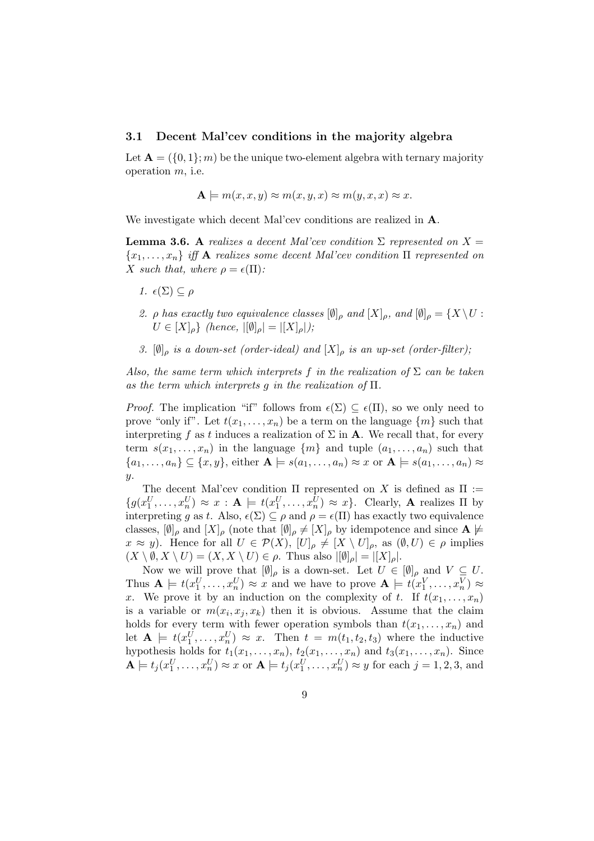#### 3.1 Decent Mal'cev conditions in the majority algebra

Let  $\mathbf{A} = (\{0, 1\}; m)$  be the unique two-element algebra with ternary majority operation m, i.e.

$$
\mathbf{A} \models m(x, x, y) \approx m(x, y, x) \approx m(y, x, x) \approx x.
$$

We investigate which decent Mal'cev conditions are realized in A.

**Lemma 3.6.** A realizes a decent Mal'cev condition  $\Sigma$  represented on  $X =$  ${x_1, \ldots, x_n}$  iff **A** realizes some decent Mal'cev condition  $\Pi$  represented on X such that, where  $\rho = \epsilon(\Pi)$ :

- 1.  $\epsilon(\Sigma) \subseteq \rho$
- 2. ρ has exactly two equivalence classes  $[\emptyset]_\rho$  and  $[X]_\rho$ , and  $[\emptyset]_\rho = \{X \setminus U :$  $U \in [X]_{\rho}$  (hence,  $|[\emptyset]_{\rho}| = |[X]_{\rho}|$ );
- 3.  $[\emptyset]_{\rho}$  is a down-set (order-ideal) and  $[X]_{\rho}$  is an up-set (order-filter);

Also, the same term which interprets f in the realization of  $\Sigma$  can be taken as the term which interprets g in the realization of  $\Pi$ .

*Proof.* The implication "if" follows from  $\epsilon(\Sigma) \subseteq \epsilon(\Pi)$ , so we only need to prove "only if". Let  $t(x_1, \ldots, x_n)$  be a term on the language  $\{m\}$  such that interpreting f as t induces a realization of  $\Sigma$  in **A**. We recall that, for every term  $s(x_1, \ldots, x_n)$  in the language  $\{m\}$  and tuple  $(a_1, \ldots, a_n)$  such that  $\{a_1,\ldots,a_n\} \subseteq \{x,y\}$ , either  $\mathbf{A} \models s(a_1,\ldots,a_n) \approx x$  or  $\mathbf{A} \models s(a_1,\ldots,a_n) \approx x$  $\overline{y}$ .

The decent Mal'cev condition  $\Pi$  represented on X is defined as  $\Pi$  :=  $\{g(x_1^U, \ldots, x_n^U) \approx x : \mathbf{A} \models t(x_1^U, \ldots, x_n^U) \approx x\}.$  Clearly, **A** realizes  $\Pi$  by interpreting g as t. Also,  $\epsilon(\Sigma) \subseteq \rho$  and  $\rho = \epsilon(\Pi)$  has exactly two equivalence classes,  $[\emptyset]_\rho$  and  $[X]_\rho$  (note that  $[\emptyset]_\rho \neq [X]_\rho$  by idempotence and since  $\mathbf{A} \not\models \emptyset$  $x \approx y$ ). Hence for all  $U \in \mathcal{P}(X)$ ,  $[U]_{\rho} \neq [X \setminus U]_{\rho}$ , as  $(\emptyset, U) \in \rho$  implies  $(X \setminus \emptyset, X \setminus U) = (X, X \setminus U) \in \rho$ . Thus also  $|[\emptyset]_{\rho}| = |[X]_{\rho}|$ .

Now we will prove that  $[\emptyset]_{\rho}$  is a down-set. Let  $U \in [\emptyset]_{\rho}$  and  $V \subseteq U$ . Thus  $\mathbf{A} \models t(x_1^U, \ldots, x_n^U) \approx x$  and we have to prove  $\mathbf{A} \models t(x_1^V, \ldots, x_n^V) \approx$ x. We prove it by an induction on the complexity of t. If  $t(x_1, \ldots, x_n)$ is a variable or  $m(x_i, x_j, x_k)$  then it is obvious. Assume that the claim holds for every term with fewer operation symbols than  $t(x_1, \ldots, x_n)$  and let  $\mathbf{A} \models t(x_1^U, \ldots, x_n^U) \approx x$ . Then  $t = m(t_1, t_2, t_3)$  where the inductive hypothesis holds for  $t_1(x_1, \ldots, x_n)$ ,  $t_2(x_1, \ldots, x_n)$  and  $t_3(x_1, \ldots, x_n)$ . Since  $\mathbf{A} \models t_j(x_1^U, \ldots, x_n^U) \approx x$  or  $\mathbf{A} \models t_j(x_1^U, \ldots, x_n^U) \approx y$  for each  $j = 1, 2, 3$ , and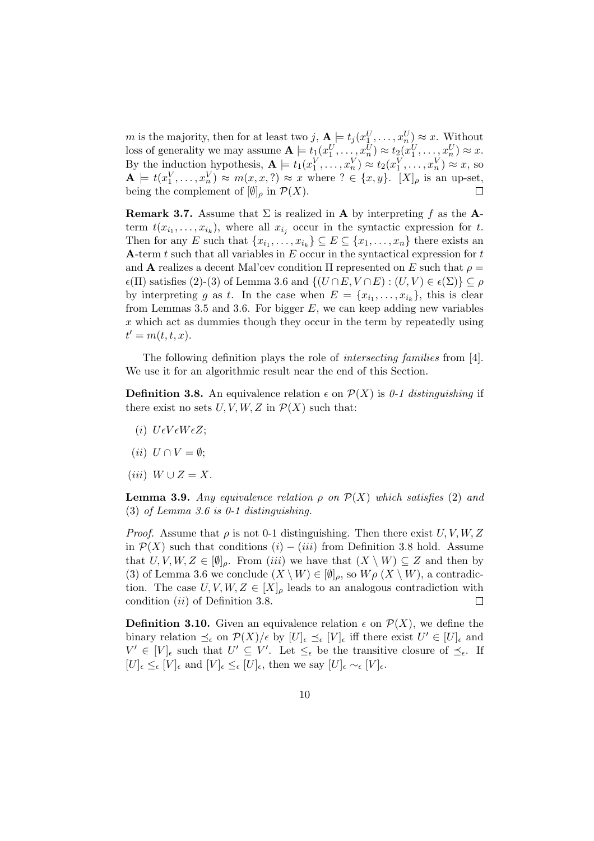m is the majority, then for at least two j,  $A \models t_j(x_1^U, \ldots, x_n^U) \approx x$ . Without loss of generality we may assume  $\mathbf{A} \models t_1(x_1^U, \ldots, x_n^U) \approx t_2(x_1^U, \ldots, x_n^U) \approx x.$ By the induction hypothesis,  $\mathbf{A} \models t_1(x_1^V, \dots, x_n^V) \approx t_2(x_1^V, \dots, x_n^V) \approx x$ , so  $\mathbf{A} \models t(x_1^V, \dots, x_n^V) \approx m(x, x, ?) \approx x$  where  $? \in \{x, y\}$ .  $[X]_{\rho}$  is an up-set, being the complement of  $[\emptyset]_{\rho}$  in  $\mathcal{P}(X)$ .  $\Box$ 

**Remark 3.7.** Assume that  $\Sigma$  is realized in **A** by interpreting f as the **A**term  $t(x_{i_1},...,x_{i_k})$ , where all  $x_{i_j}$  occur in the syntactic expression for t. Then for any E such that  $\{x_{i_1},...,x_{i_k}\} \subseteq E \subseteq \{x_1,...,x_n\}$  there exists an A-term  $t$  such that all variables in  $E$  occur in the syntactical expression for  $t$ and **A** realizes a decent Mal'cev condition  $\Pi$  represented on E such that  $\rho =$  $\epsilon(\Pi)$  satisfies (2)-(3) of Lemma 3.6 and  $\{(U \cap E, V \cap E) : (U, V) \in \epsilon(\Sigma)\}\subset \rho$ by interpreting g as t. In the case when  $E = \{x_{i_1}, \ldots, x_{i_k}\}\,$  this is clear from Lemmas 3.5 and 3.6. For bigger  $E$ , we can keep adding new variables  $x$  which act as dummies though they occur in the term by repeatedly using  $t' = m(t, t, x).$ 

The following definition plays the role of intersecting families from [4]. We use it for an algorithmic result near the end of this Section.

**Definition 3.8.** An equivalence relation  $\epsilon$  on  $\mathcal{P}(X)$  is 0-1 distinguishing if there exist no sets  $U, V, W, Z$  in  $\mathcal{P}(X)$  such that:

- (i)  $U \epsilon V \epsilon W \epsilon Z;$
- (ii)  $U \cap V = \emptyset$ ;
- (iii)  $W \cup Z = X$ .

**Lemma 3.9.** Any equivalence relation  $\rho$  on  $\mathcal{P}(X)$  which satisfies (2) and (3) of Lemma 3.6 is 0-1 distinguishing.

*Proof.* Assume that  $\rho$  is not 0-1 distinguishing. Then there exist U, V, W, Z in  $\mathcal{P}(X)$  such that conditions  $(i) - (iii)$  from Definition 3.8 hold. Assume that  $U, V, W, Z \in [\emptyset]_{\rho}$ . From (iii) we have that  $(X \setminus W) \subseteq Z$  and then by (3) of Lemma 3.6 we conclude  $(X \setminus W) \in [\emptyset]_{\rho}$ , so  $W\rho(X \setminus W)$ , a contradiction. The case  $U, V, W, Z \in [X]_{\rho}$  leads to an analogous contradiction with condition (ii) of Definition 3.8.  $\Box$ 

**Definition 3.10.** Given an equivalence relation  $\epsilon$  on  $\mathcal{P}(X)$ , we define the binary relation  $\preceq_{\epsilon}$  on  $\mathcal{P}(X)/\epsilon$  by  $[U]_{\epsilon} \preceq_{\epsilon} [V]_{\epsilon}$  iff there exist  $U' \in [U]_{\epsilon}$  and  $V' \in [V]_{\epsilon}$  such that  $U' \subseteq V'$ . Let  $\leq_{\epsilon}$  be the transitive closure of  $\preceq_{\epsilon}$ . If  $[U]_{\epsilon} \leq_{\epsilon} [V]_{\epsilon}$  and  $[V]_{\epsilon} \leq_{\epsilon} [U]_{\epsilon}$ , then we say  $[U]_{\epsilon} \sim_{\epsilon} [V]_{\epsilon}$ .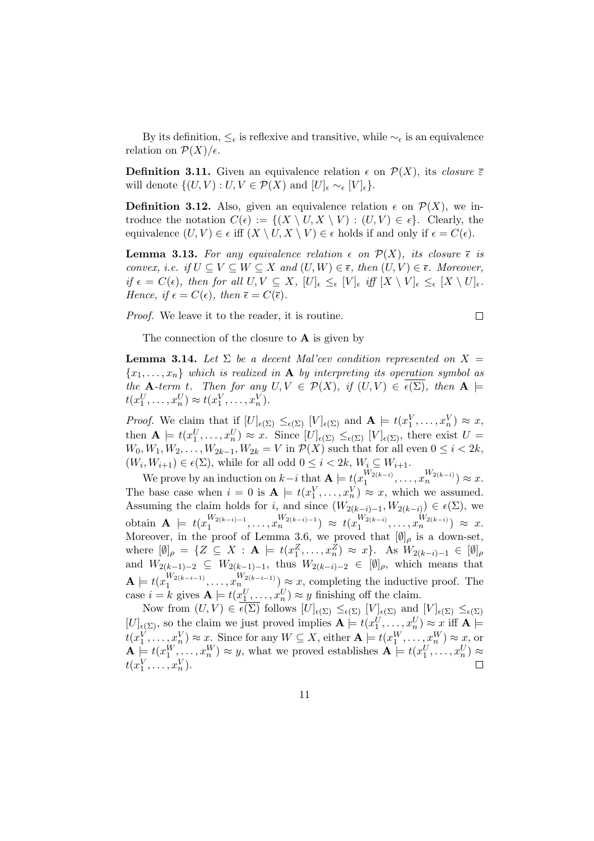By its definition,  $\leq_{\epsilon}$  is reflexive and transitive, while  $\sim_{\epsilon}$  is an equivalence relation on  $\mathcal{P}(X)/\epsilon$ .

**Definition 3.11.** Given an equivalence relation  $\epsilon$  on  $\mathcal{P}(X)$ , its closure  $\bar{\epsilon}$ will denote  $\{(U, V) : U, V \in \mathcal{P}(X) \text{ and } [U]_{\epsilon} \sim_{\epsilon} [V]_{\epsilon} \}.$ 

**Definition 3.12.** Also, given an equivalence relation  $\epsilon$  on  $\mathcal{P}(X)$ , we introduce the notation  $C(\epsilon) := \{(X \setminus U, X \setminus V) : (U, V) \in \epsilon\}.$  Clearly, the equivalence  $(U, V) \in \epsilon$  iff  $(X \setminus U, X \setminus V) \in \epsilon$  holds if and only if  $\epsilon = C(\epsilon)$ .

**Lemma 3.13.** For any equivalence relation  $\epsilon$  on  $\mathcal{P}(X)$ , its closure  $\bar{\epsilon}$  is convex, i.e. if  $U \subseteq V \subseteq W \subseteq X$  and  $(U, W) \in \overline{\epsilon}$ , then  $(U, V) \in \overline{\epsilon}$ . Moreover, if  $\epsilon = C(\epsilon)$ , then for all  $U, V \subseteq X$ ,  $[U]_{\epsilon} \leq_{\epsilon} [V]_{\epsilon}$  iff  $[X \setminus V]_{\epsilon} \leq_{\epsilon} [X \setminus U]_{\epsilon}$ . Hence, if  $\epsilon = C(\epsilon)$ , then  $\bar{\epsilon} = C(\bar{\epsilon})$ .

Proof. We leave it to the reader, it is routine.

$$
\Box
$$

The connection of the closure to  $\bf{A}$  is given by

**Lemma 3.14.** Let  $\Sigma$  be a decent Mal'cev condition represented on  $X =$  ${x_1, \ldots, x_n}$  which is realized in **A** by interpreting its operation symbol as the **A**-term t. Then for any  $U, V \in \mathcal{P}(X)$ , if  $(U, V) \in \overline{\epsilon(\Sigma)}$ , then  $\mathbf{A} \models$  $t(x_1^U, \ldots, x_n^U) \approx t(x_1^V, \ldots, x_n^V).$ 

*Proof.* We claim that if  $[U]_{\epsilon(\Sigma)} \leq_{\epsilon(\Sigma)} [V]_{\epsilon(\Sigma)}$  and  $\mathbf{A} \models t(x_1^V, \dots, x_n^V) \approx x$ , then  $\mathbf{A} \models t(x_1^U, \ldots, x_n^U) \approx x$ . Since  $[U]_{\epsilon(\Sigma)} \leq_{\epsilon(\Sigma)} [V]_{\epsilon(\Sigma)}$ , there exist  $U =$  $W_0, W_1, W_2, \ldots, W_{2k-1}, W_{2k} = V$  in  $\mathcal{P}(X)$  such that for all even  $0 \leq i < 2k$ ,  $(W_i, W_{i+1}) \in \epsilon(\Sigma)$ , while for all odd  $0 \leq i < 2k$ ,  $W_i \subseteq W_{i+1}$ .

We prove by an induction on  $k-i$  that  $\mathbf{A} \models t(x_1^{W_{2(k-i)}})$  ${W_{2(k-i)} \choose 1}, \dots, {W_{2(k-i)} \choose n} \approx x.$ The base case when  $i = 0$  is  $A \models t(x_1^V, \ldots, x_n^V) \approx x$ , which we assumed. Assuming the claim holds for *i*, and since  $(W_{2(k-i)-1}, W_{2(k-i)}) \in \epsilon(\Sigma)$ , we obtain  $\mathbf{A} \models t(x_1^{W_{2(k-i)-1}})$  $\frac{W_{2(k-i)-1}}{1},\ldots, x_n^{W_{2(k-i)-1}}) \; \approx \; t(x_1^{W_{2(k-i)}})$  $W_{2(k-i)}, \ldots, x_n^{W_{2(k-i)}}) \approx x.$ Moreover, in the proof of Lemma 3.6, we proved that  $[\emptyset]_{\rho}$  is a down-set, where  $[\emptyset]_{\rho} = \{Z \subseteq X : \mathbf{A} \models t(x_1^Z, \ldots, x_n^Z) \approx x\}.$  As  $W_{2(k-i)-1} \in [\emptyset]_{\rho}$ and  $W_{2(k-1)-2} \subseteq W_{2(k-1)-1}$ , thus  $W_{2(k-i)-2} \in [\emptyset]_{\rho}$ , which means that  $\mathbf{A} \models t(x_1^{W_{2(k-i-1)}})$  $\binom{W_{2(k-i-1)}{n},\ldots,\binom{W_{2(k-i-1)}{n}}{X} \approx x$ , completing the inductive proof. The case  $i = k$  gives  $\mathbf{A} \models t(x_1^U, \dots, x_n^U) \approx y$  finishing off the claim.

Now from  $(U, V) \in \overline{\epsilon(\Sigma)}$  follows  $[U]_{\epsilon(\Sigma)} \leq_{\epsilon(\Sigma)} [V]_{\epsilon(\Sigma)}$  and  $[V]_{\epsilon(\Sigma)} \leq_{\epsilon(\Sigma)}$  $[U]_{\epsilon(\Sigma)}$ , so the claim we just proved implies  $\mathbf{A} \models t(x_1^U, \dots, x_n^U) \approx x$  iff  $\mathbf{A} \models$  $t(x_1^V, \ldots, x_n^V) \approx x$ . Since for any  $W \subseteq X$ , either  $\mathbf{A} \models t(x_1^W, \ldots, x_n^W) \approx x$ , or  $\mathbf{A} \models t(x_1^W, \dots, x_n^W) \approx y$ , what we proved establishes  $\mathbf{A} \models t(x_1^U, \dots, x_n^U) \approx$  $t(x_1^V,\ldots,x_n^V).$  $\Box$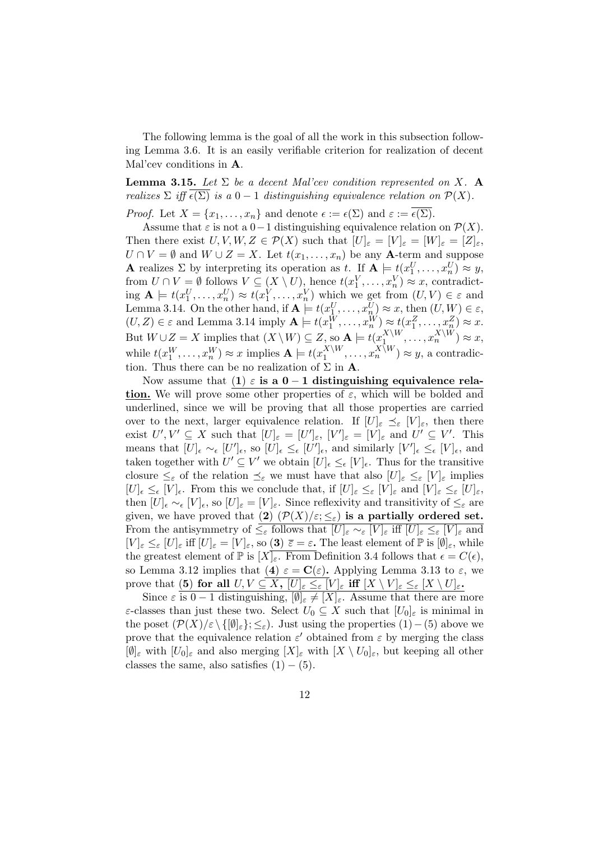The following lemma is the goal of all the work in this subsection following Lemma 3.6. It is an easily verifiable criterion for realization of decent Mal'cev conditions in A.

**Lemma 3.15.** Let  $\Sigma$  be a decent Mal'cev condition represented on X. A realizes  $\Sigma$  iff  $\epsilon(\Sigma)$  is a  $0-1$  distinguishing equivalence relation on  $\mathcal{P}(X)$ .

*Proof.* Let  $X = \{x_1, \ldots, x_n\}$  and denote  $\epsilon := \epsilon(\Sigma)$  and  $\varepsilon := \overline{\epsilon(\Sigma)}$ .

Assume that  $\varepsilon$  is not a 0−1 distinguishing equivalence relation on  $\mathcal{P}(X)$ . Then there exist  $U, V, W, Z \in \mathcal{P}(X)$  such that  $[U]_{\varepsilon} = [V]_{\varepsilon} = [W]_{\varepsilon} = [Z]_{\varepsilon}$ ,  $U \cap V = \emptyset$  and  $W \cup Z = X$ . Let  $t(x_1, \ldots, x_n)$  be any **A**-term and suppose **A** realizes  $\Sigma$  by interpreting its operation as t. If  $\mathbf{A} \models t(x_1^U, \dots, x_n^U) \approx y$ , from  $U \cap V = \emptyset$  follows  $V \subseteq (X \setminus U)$ , hence  $t(x_1^V, \ldots, x_n^V) \approx x$ , contradicting  $\mathbf{A} \models t(x_1^U, \ldots, x_n^U) \approx t(x_1^V, \ldots, x_n^V)$  which we get from  $(U, V) \in \varepsilon$  and Lemma 3.14. On the other hand, if  $\mathbf{A} \models t(x_1^U, \dots, x_n^U) \approx x$ , then  $(U, W) \in \varepsilon$ ,  $(U, Z) \in \varepsilon$  and Lemma 3.14 imply  $\mathbf{A} \models t(x_1^W, \dots, x_n^W) \approx t(x_1^Z, \dots, x_n^Z) \approx x$ . But  $W \cup Z = X$  implies that  $(X \setminus W) \subseteq Z$ , so  $\mathbf{A} \models t(x_1^{X \setminus W})$  $X \backslash W$ ,  $\ldots, x_n^{X \backslash W}$ )  $\approx x$ , while  $t(x_1^W, \ldots, x_n^W) \approx x$  implies  $\mathbf{A} \models t(x_1^{X \setminus W})$  $x_1^{X \setminus W}, \ldots, x_n^{X \setminus W}$   $\approx y$ , a contradiction. Thus there can be no realization of  $\Sigma$  in **A**.

Now assume that (1)  $\varepsilon$  is a 0 − 1 distinguishing equivalence relation. We will prove some other properties of  $\varepsilon$ , which will be bolded and underlined, since we will be proving that all those properties are carried over to the next, larger equivalence relation. If  $[U]_{\varepsilon} \preceq_{\varepsilon} [V]_{\varepsilon}$ , then there exist  $U', V' \subseteq X$  such that  $[U]_{\varepsilon} = [U']_{\varepsilon}$ ,  $[V']_{\varepsilon} = [V]_{\varepsilon}$  and  $U' \subseteq V'$ . This means that  $[U]_{\epsilon} \sim_{\epsilon} [U']_{\epsilon}$ , so  $[U]_{\epsilon} \leq_{\epsilon} [U']_{\epsilon}$ , and similarly  $[V']_{\epsilon} \leq_{\epsilon} [V]_{\epsilon}$ , and taken together with  $U' \subseteq V'$  we obtain  $[U]_{\epsilon} \leq_{\epsilon} [V]_{\epsilon}$ . Thus for the transitive closure  $\leq_{\varepsilon}$  of the relation  $\leq_{\varepsilon}$  we must have that also  $[U]_{\varepsilon} \leq_{\varepsilon} [V]_{\varepsilon}$  implies  $[U]_{\epsilon} \leq_{\epsilon} [V]_{\epsilon}$ . From this we conclude that, if  $[U]_{\epsilon} \leq_{\epsilon} [V]_{\epsilon}$  and  $[V]_{\epsilon} \leq_{\epsilon} [U]_{\epsilon}$ , then  $[U]_{\epsilon} \sim_{\epsilon} [V]_{\epsilon}$ , so  $[U]_{\epsilon} = [V]_{\epsilon}$ . Since reflexivity and transitivity of  $\leq_{\epsilon}$  are given, we have proved that (2)  $(\mathcal{P}(X)/\varepsilon;\leq_{\varepsilon})$  is a partially ordered set. From the antisymmetry of  $\leq_{\varepsilon}$  follows that  $[U]_{\varepsilon} \sim_{\varepsilon} [V]_{\varepsilon}$  iff  $[U]_{\varepsilon} \leq_{\varepsilon} [V]_{\varepsilon}$  and  $[V]_{\varepsilon} \leq_{\varepsilon} [U]_{\varepsilon}$  iff  $[U]_{\varepsilon} = [V]_{\varepsilon}$ , so  $(3) \bar{\varepsilon} = \varepsilon$ . The least element of  $\mathbb{P}$  is  $[\emptyset]_{\varepsilon}$ , while the greatest element of  $\mathbb P$  is  $[X]_{\varepsilon}$ . From Definition 3.4 follows that  $\epsilon = C(\epsilon)$ , so Lemma 3.12 implies that (4)  $\varepsilon = \mathbf{C}(\varepsilon)$ . Applying Lemma 3.13 to  $\varepsilon$ , we prove that (5) for all  $U, V \subseteq \overline{X, |U|_{\varepsilon} \leq_{\varepsilon} |V|_{\varepsilon}}$  iff  $|X \setminus V|_{\varepsilon} \leq_{\varepsilon} |X \setminus U|_{\varepsilon}$ .

Since  $\varepsilon$  is  $0-1$  distinguishing,  $[\emptyset]_{\varepsilon} \neq [X]_{\varepsilon}$ . Assume that there are more ε-classes than just these two. Select  $U_0 \subseteq X$  such that  $[U_0]_\varepsilon$  is minimal in the poset  $(\mathcal{P}(X)/\varepsilon \setminus \{[\emptyset]_{\varepsilon}\}; \leq_{\varepsilon})$ . Just using the properties  $(1)-(5)$  above we prove that the equivalence relation  $\varepsilon'$  obtained from  $\varepsilon$  by merging the class  $[\emptyset]_{\varepsilon}$  with  $[U_0]_{\varepsilon}$  and also merging  $[X]_{\varepsilon}$  with  $[X \setminus U_0]_{\varepsilon}$ , but keeping all other classes the same, also satisfies  $(1) - (5)$ .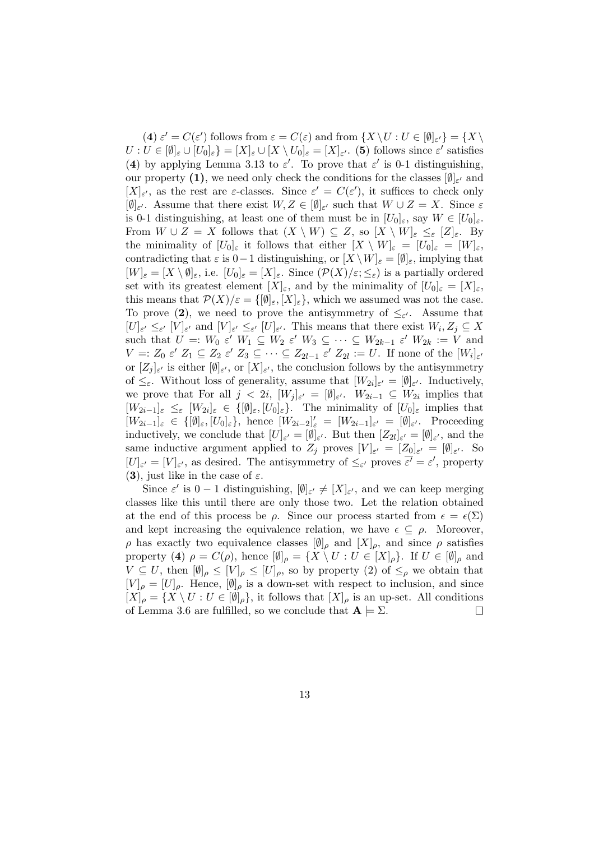(4)  $\varepsilon' = C(\varepsilon')$  follows from  $\varepsilon = C(\varepsilon)$  and from  $\{X \setminus U : U \in [\emptyset]_{\varepsilon'}\} = \{X \setminus U\}$  $U: U \in [\emptyset]_{\varepsilon} \cup [U_0]_{\varepsilon}$  =  $[X]_{\varepsilon} \cup [X \setminus U_0]_{\varepsilon} = [X]_{\varepsilon'}$ . (5) follows since  $\varepsilon'$  satisfies (4) by applying Lemma 3.13 to  $\varepsilon'$ . To prove that  $\varepsilon'$  is 0-1 distinguishing, our property (1), we need only check the conditions for the classes  $[\emptyset]_{\varepsilon'}$  and  $[X]_{\varepsilon}$ , as the rest are  $\varepsilon$ -classes. Since  $\varepsilon' = C(\varepsilon')$ , it suffices to check only  $[\emptyset]_{\varepsilon}$ . Assume that there exist  $W, Z \in [\emptyset]_{\varepsilon}$  such that  $W \cup Z = X$ . Since  $\varepsilon$ is 0-1 distinguishing, at least one of them must be in  $[U_0]_\varepsilon$ , say  $W \in [U_0]_\varepsilon$ . From  $W \cup Z = X$  follows that  $(X \setminus W) \subseteq Z$ , so  $[X \setminus W]_{\varepsilon} \leq_{\varepsilon} [Z]_{\varepsilon}$ . By the minimality of  $[U_0]_\varepsilon$  it follows that either  $[X \setminus W]_\varepsilon = [U_0]_\varepsilon = [W]_\varepsilon$ , contradicting that  $\varepsilon$  is 0−1 distinguishing, or  $[X \setminus W]_{\varepsilon} = [\emptyset]_{\varepsilon}$ , implying that  $[W]_{\varepsilon} = [X \setminus \emptyset]_{\varepsilon}$ , i.e.  $[U_0]_{\varepsilon} = [X]_{\varepsilon}$ . Since  $(\mathcal{P}(X)/\varepsilon; \leq_{\varepsilon})$  is a partially ordered set with its greatest element  $[X]_{\varepsilon}$ , and by the minimality of  $[U_0]_{\varepsilon} = [X]_{\varepsilon}$ , this means that  $\mathcal{P}(X)/\varepsilon = \{[\emptyset]_{\varepsilon}, [X]_{\varepsilon}\}\,$ , which we assumed was not the case. To prove (2), we need to prove the antisymmetry of  $\leq_{\varepsilon}$ . Assume that  $[U]_{\varepsilon'} \leq_{\varepsilon'} [V]_{\varepsilon'}$  and  $[V]_{\varepsilon'} \leq_{\varepsilon'} [U]_{\varepsilon'}.$  This means that there exist  $W_i, Z_j \subseteq X$ such that  $U =: W_0 \varepsilon' W_1 \subseteq W_2 \varepsilon' W_3 \subseteq \cdots \subseteq W_{2k-1} \varepsilon' W_{2k} := V$  and  $V =: Z_0 \varepsilon' Z_1 \subseteq Z_2 \varepsilon' Z_3 \subseteq \cdots \subseteq Z_{2l-1} \varepsilon' Z_{2l} := U$ . If none of the  $[W_i]_{\varepsilon'}$ or  $[Z_j]_{\varepsilon'}$  is either  $[\emptyset]_{\varepsilon'}$ , or  $[X]_{\varepsilon'}$ , the conclusion follows by the antisymmetry of  $\leq_{\varepsilon}$ . Without loss of generality, assume that  $[W_{2i}]_{\varepsilon'} = [\emptyset]_{\varepsilon'}$ . Inductively, we prove that For all  $j < 2i$ ,  $[W_j]_{\varepsilon'} = [\emptyset]_{\varepsilon'}$ .  $W_{2i-1} \subseteq W_{2i}$  implies that  $[W_{2i-1}]_{\varepsilon} \leq_{\varepsilon} [W_{2i}]_{\varepsilon} \in \{[\emptyset]_{\varepsilon},[U_0]_{\varepsilon}\}.$  The minimality of  $[U_0]_{\varepsilon}$  implies that  $[W_{2i-1}]_{\varepsilon} \in \{[\emptyset]_{\varepsilon}, [U_0]_{\varepsilon}\},$  hence  $[W_{2i-2}]'_{\varepsilon} = [W_{2i-1}]_{\varepsilon'} = [\emptyset]_{\varepsilon'}$ . Proceeding inductively, we conclude that  $[U]_{\varepsilon'} = [\emptyset]_{\varepsilon'}$ . But then  $[Z_{2l}]_{\varepsilon'} = [\emptyset]_{\varepsilon'}$ , and the same inductive argument applied to  $Z_j$  proves  $[V]_{\varepsilon'} = [Z_0]_{\varepsilon'} = [\emptyset]_{\varepsilon'}$ . So  $[U]_{\varepsilon'} = [V]_{\varepsilon'}$ , as desired. The antisymmetry of  $\leq_{\varepsilon'}$  proves  $\overline{\varepsilon'} = \varepsilon'$ , property (3), just like in the case of  $\varepsilon$ .

Since  $\varepsilon'$  is  $0-1$  distinguishing,  $[\emptyset]_{\varepsilon'} \neq [X]_{\varepsilon'}$ , and we can keep merging classes like this until there are only those two. Let the relation obtained at the end of this process be  $\rho$ . Since our process started from  $\epsilon = \epsilon(\Sigma)$ and kept increasing the equivalence relation, we have  $\epsilon \subseteq \rho$ . Moreover,  $ρ$  has exactly two equivalence classes  $[Ø]_ρ$  and  $[X]_ρ$ , and since *ρ* satisfies property (4)  $\rho = C(\rho)$ , hence  $[\emptyset]_{\rho} = \{X \setminus U : U \in [X]_{\rho}\}.$  If  $U \in [\emptyset]_{\rho}$  and  $V \subseteq U$ , then  $[\emptyset]_{\rho} \leq [V]_{\rho} \leq [U]_{\rho}$ , so by property (2) of  $\leq_{\rho}$  we obtain that  $[V]_{\rho} = [U]_{\rho}$ . Hence,  $[\emptyset]_{\rho}$  is a down-set with respect to inclusion, and since  $[X]_{\rho} = \{X \setminus U : U \in [\emptyset]_{\rho}\},$  it follows that  $[X]_{\rho}$  is an up-set. All conditions of Lemma 3.6 are fulfilled, so we conclude that  $A \models \Sigma$ .  $\Box$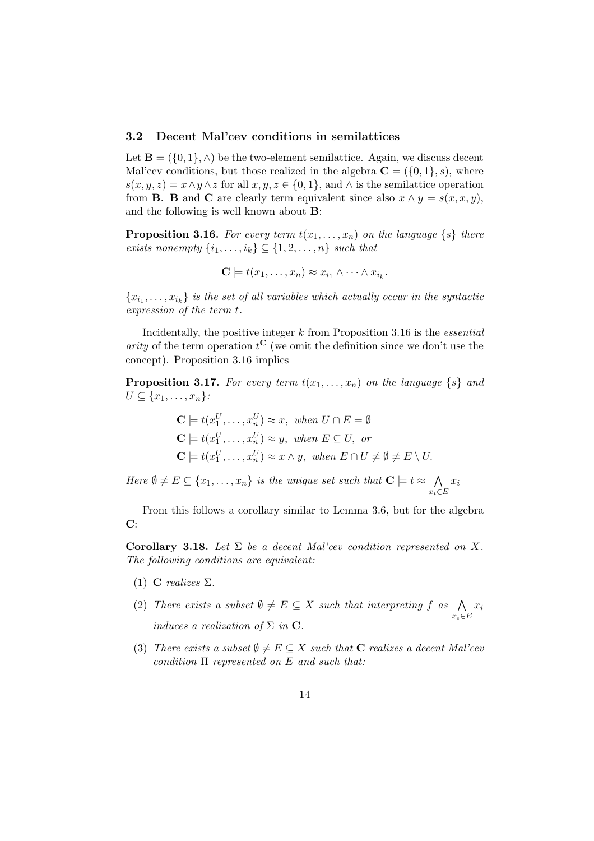#### 3.2 Decent Mal'cev conditions in semilattices

Let  $\mathbf{B} = (\{0, 1\}, \wedge)$  be the two-element semilattice. Again, we discuss decent Mal'cev conditions, but those realized in the algebra  $\mathbf{C} = (\{0, 1\}, s)$ , where  $s(x, y, z) = x \wedge y \wedge z$  for all  $x, y, z \in \{0, 1\}$ , and  $\wedge$  is the semilattice operation from **B**. **B** and **C** are clearly term equivalent since also  $x \wedge y = s(x, x, y)$ , and the following is well known about B:

**Proposition 3.16.** For every term  $t(x_1, \ldots, x_n)$  on the language  $\{s\}$  there exists nonempty  $\{i_1, \ldots, i_k\} \subseteq \{1, 2, \ldots, n\}$  such that

$$
\mathbf{C} \models t(x_1,\ldots,x_n) \approx x_{i_1} \wedge \cdots \wedge x_{i_k}.
$$

 ${x_{i_1}, \ldots, x_{i_k}}$  is the set of all variables which actually occur in the syntactic expression of the term t.

Incidentally, the positive integer  $k$  from Proposition 3.16 is the *essential* arity of the term operation  $t^{\mathbf{C}}$  (we omit the definition since we don't use the concept). Proposition 3.16 implies

**Proposition 3.17.** For every term  $t(x_1, \ldots, x_n)$  on the language  $\{s\}$  and  $U \subseteq \{x_1, \ldots, x_n\}$ :

$$
\mathbf{C} \models t(x_1^U, \dots, x_n^U) \approx x, \text{ when } U \cap E = \emptyset
$$
  
\n
$$
\mathbf{C} \models t(x_1^U, \dots, x_n^U) \approx y, \text{ when } E \subseteq U, \text{ or}
$$
  
\n
$$
\mathbf{C} \models t(x_1^U, \dots, x_n^U) \approx x \land y, \text{ when } E \cap U \neq \emptyset \neq E \setminus U.
$$

Here  $\emptyset \neq E \subseteq \{x_1, \ldots, x_n\}$  is the unique set such that  $\mathbf{C} \models t \approx \bigwedge$  $x_i \in E$  $x_i$ 

From this follows a corollary similar to Lemma 3.6, but for the algebra C:

Corollary 3.18. Let  $\Sigma$  be a decent Mal'cev condition represented on X. The following conditions are equivalent:

- (1) **C** realizes  $\Sigma$ .
- (2) There exists a subset  $\emptyset \neq E \subseteq X$  such that interpreting f as  $\bigwedge$  $x_i \in E$  $\dot{x_i}$ induces a realization of  $\Sigma$  in  $\mathbf C$ .
- (3) There exists a subset  $\emptyset \neq E \subseteq X$  such that **C** realizes a decent Mal'cev condition  $\Pi$  represented on E and such that: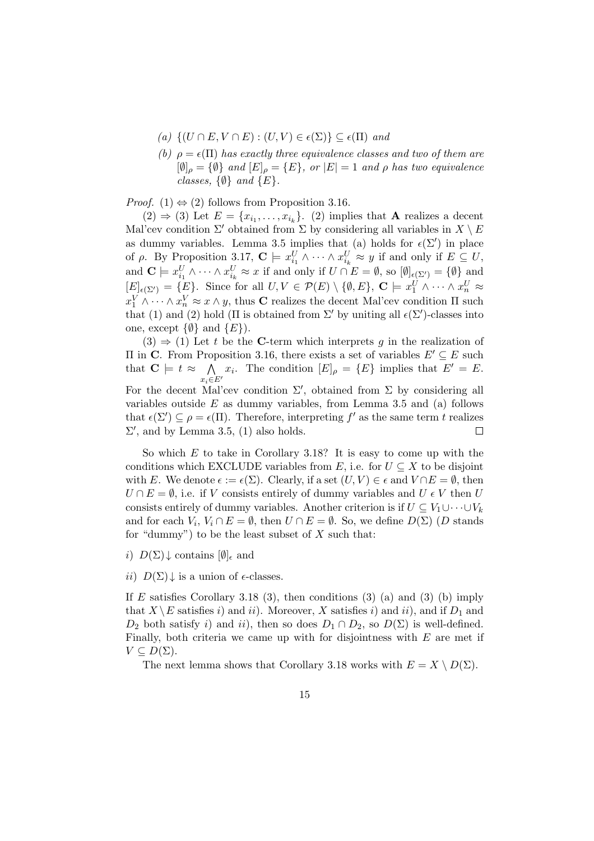- (a)  $\{(U \cap E, V \cap E) : (U, V) \in \epsilon(\Sigma)\} \subseteq \epsilon(\Pi)$  and
- (b)  $\rho = \epsilon(\Pi)$  has exactly three equivalence classes and two of them are  $[\emptyset]_{\rho} = {\emptyset}$  and  $[E]_{\rho} = {E}$ , or  $|E| = 1$  and  $\rho$  has two equivalence classes,  $\{\emptyset\}$  and  $\{E\}$ .

*Proof.* (1)  $\Leftrightarrow$  (2) follows from Proposition 3.16.

 $(2) \Rightarrow (3)$  Let  $E = \{x_{i_1}, \ldots, x_{i_k}\}.$  (2) implies that **A** realizes a decent Mal'cev condition  $\Sigma'$  obtained from  $\Sigma$  by considering all variables in  $X \setminus E$ as dummy variables. Lemma 3.5 implies that (a) holds for  $\epsilon(\Sigma')$  in place of  $\rho$ . By Proposition 3.17,  $\mathbf{C} \models x_{i_1}^U \wedge \cdots \wedge x_{i_k}^U \approx y$  if and only if  $E \subseteq U$ , and  $\mathbf{C} \models x_{i_1}^U \wedge \cdots \wedge x_{i_k}^U \approx x$  if and only if  $U \cap E = \emptyset$ , so  $[\emptyset]_{\epsilon(\Sigma')} = {\emptyset}$  and  $[E]_{\epsilon(\Sigma')} = \{E\}.$  Since for all  $U, V \in \mathcal{P}(E) \setminus \{\emptyset, E\}, \mathbf{C} \models x_1^U \wedge \cdots \wedge x_n^U \approx$  $x_1^V \wedge \cdots \wedge x_n^V \approx x \wedge y$ , thus **C** realizes the decent Mal'cev condition  $\Pi$  such that (1) and (2) hold ( $\Pi$  is obtained from  $\Sigma'$  by uniting all  $\epsilon(\Sigma')$ -classes into one, except  $\{\emptyset\}$  and  $\{E\}$ .

 $(3) \Rightarrow (1)$  Let t be the C-term which interprets g in the realization of Π in **C**. From Proposition 3.16, there exists a set of variables  $E' ⊂ E$  such that  $C \models t \approx \bigwedge$  $x_i \in E'$  $x_i$ . The condition  $[E]_{\rho} = \{E\}$  implies that  $E' = E$ . For the decent Mal'cev condition  $\Sigma'$ , obtained from  $\Sigma$  by considering all variables outside  $E$  as dummy variables, from Lemma 3.5 and (a) follows that  $\epsilon(\Sigma') \subseteq \rho = \epsilon(\Pi)$ . Therefore, interpreting f' as the same term t realizes

 $\Sigma'$ , and by Lemma 3.5, (1) also holds.  $\Box$ So which  $E$  to take in Corollary 3.18? It is easy to come up with the conditions which EXCLUDE variables from E, i.e. for  $U \subseteq X$  to be disjoint with E. We denote  $\epsilon := \epsilon(\Sigma)$ . Clearly, if a set  $(U, V) \in \epsilon$  and  $V \cap E = \emptyset$ , then  $U \cap E = \emptyset$ , i.e. if V consists entirely of dummy variables and  $U \in V$  then U consists entirely of dummy variables. Another criterion is if  $U \subseteq V_1 \cup \cdots \cup V_k$ 

and for each  $V_i$ ,  $V_i \cap E = \emptyset$ , then  $U \cap E = \emptyset$ . So, we define  $D(\Sigma)$  (D stands

i)  $D(\Sigma)$  contains  $[\emptyset]_{\epsilon}$  and

ii)  $D(\Sigma)$  is a union of  $\epsilon$ -classes.

for "dummy") to be the least subset of  $X$  such that:

If E satisfies Corollary 3.18 (3), then conditions (3) (a) and (3) (b) imply that  $X \backslash E$  satisfies i) and ii). Moreover, X satisfies i) and ii), and if  $D_1$  and  $D_2$  both satisfy i) and ii), then so does  $D_1 \cap D_2$ , so  $D(\Sigma)$  is well-defined. Finally, both criteria we came up with for disjointness with  $E$  are met if  $V \subseteq D(\Sigma)$ .

The next lemma shows that Corollary 3.18 works with  $E = X \setminus D(\Sigma)$ .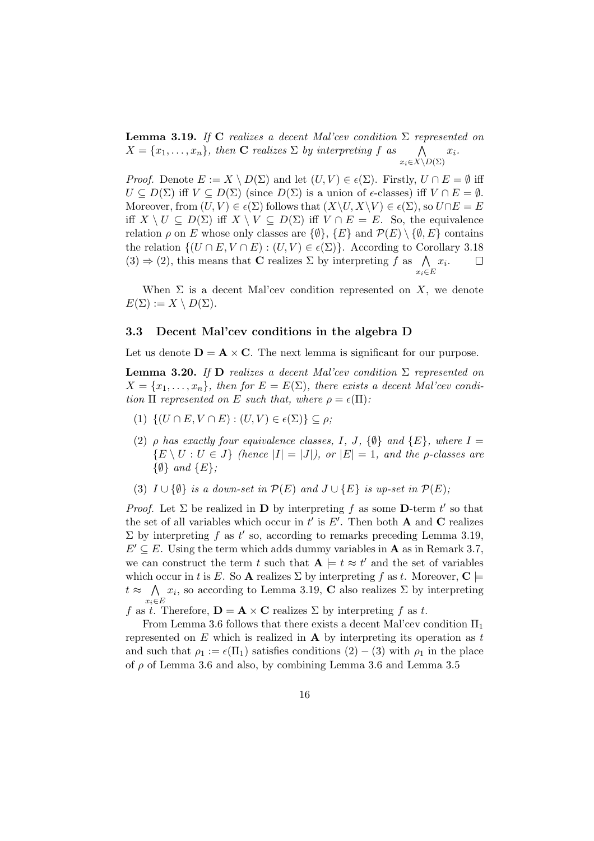**Lemma 3.19.** If C realizes a decent Mal'cev condition  $\Sigma$  represented on  $X = \{x_1, \ldots, x_n\}$ , then **C** realizes  $\Sigma$  by interpreting f as  $\bigwedge$  $x_i\in X\backslash D(\Sigma)$  $x_i$ .

*Proof.* Denote  $E := X \setminus D(\Sigma)$  and let  $(U, V) \in \epsilon(\Sigma)$ . Firstly,  $U \cap E = \emptyset$  iff  $U \subseteq D(\Sigma)$  iff  $V \subseteq D(\Sigma)$  (since  $D(\Sigma)$  is a union of  $\epsilon$ -classes) iff  $V \cap E = \emptyset$ . Moreover, from  $(U, V) \in \epsilon(\Sigma)$  follows that  $(X\setminus U, X\setminus V) \in \epsilon(\Sigma)$ , so  $U \cap E = E$ iff  $X \setminus U \subseteq D(\Sigma)$  iff  $X \setminus V \subseteq D(\Sigma)$  iff  $V \cap E = E$ . So, the equivalence relation  $\rho$  on E whose only classes are  $\{\emptyset\}$ ,  $\{E\}$  and  $\mathcal{P}(E) \setminus \{\emptyset, E\}$  contains the relation  $\{(U \cap E, V \cap E) : (U, V) \in \epsilon(\Sigma)\}\)$ . According to Corollary 3.18  $(3) \Rightarrow (2)$ , this means that **C** realizes  $\Sigma$  by interpreting f as  $\bigwedge x_i$ .  $\Box$  $x_i \in E$ 

When  $\Sigma$  is a decent Mal'cev condition represented on X, we denote  $E(\Sigma) := X \setminus D(\Sigma).$ 

#### 3.3 Decent Mal'cev conditions in the algebra D

Let us denote  $\mathbf{D} = \mathbf{A} \times \mathbf{C}$ . The next lemma is significant for our purpose.

**Lemma 3.20.** If D realizes a decent Mal'cev condition  $\Sigma$  represented on  $X = \{x_1, \ldots, x_n\}$ , then for  $E = E(\Sigma)$ , there exists a decent Mal'cev condition  $\Pi$  represented on E such that, where  $\rho = \epsilon(\Pi)$ :

- (1)  $\{(U \cap E, V \cap E) : (U, V) \in \epsilon(\Sigma)\}\subset \rho;$
- (2)  $\rho$  has exactly four equivalence classes, I, J,  $\{\emptyset\}$  and  $\{E\}$ , where  $I =$  ${E \setminus U : U \in J}$  (hence  $|I| = |J|$ ), or  $|E| = 1$ , and the *p*-classes are  $\{\emptyset\}$  and  $\{E\};$
- (3)  $I \cup \{\emptyset\}$  is a down-set in  $\mathcal{P}(E)$  and  $J \cup \{E\}$  is up-set in  $\mathcal{P}(E)$ ;

*Proof.* Let  $\Sigma$  be realized in **D** by interpreting f as some **D**-term t' so that the set of all variables which occur in  $t'$  is  $E'$ . Then both **A** and **C** realizes  $\Sigma$  by interpreting f as t' so, according to remarks preceding Lemma 3.19,  $E' \subseteq E$ . Using the term which adds dummy variables in **A** as in Remark 3.7, we can construct the term t such that  $A \models t \approx t'$  and the set of variables which occur in t is E. So A realizes  $\Sigma$  by interpreting f as t. Moreover,  $\mathbf{C} \models$  $t \approx \bigwedge x_i$ , so according to Lemma 3.19, C also realizes  $\Sigma$  by interpreting  $x_i \in E$ 

f as t. Therefore,  $\mathbf{D} = \mathbf{A} \times \mathbf{C}$  realizes  $\Sigma$  by interpreting f as t.

From Lemma 3.6 follows that there exists a decent Mal'cev condition  $\Pi_1$ represented on  $E$  which is realized in  $A$  by interpreting its operation as  $t$ and such that  $\rho_1 := \epsilon(\Pi_1)$  satisfies conditions  $(2) - (3)$  with  $\rho_1$  in the place of  $\rho$  of Lemma 3.6 and also, by combining Lemma 3.6 and Lemma 3.5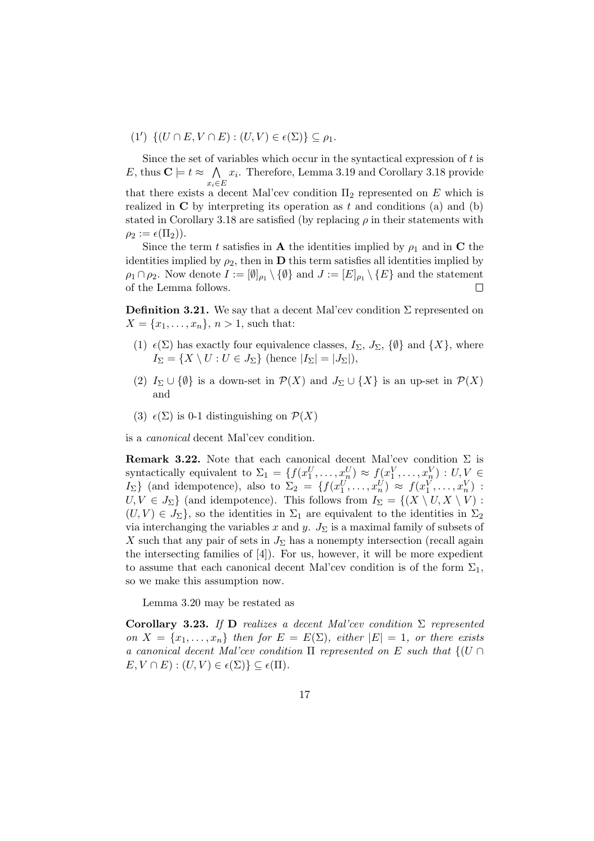(1')  $\{(U \cap E, V \cap E) : (U, V) \in \epsilon(\Sigma)\} \subseteq \rho_1.$ 

Since the set of variables which occur in the syntactical expression of  $t$  is E, thus  $C \models t \approx \bigwedge$  $x_i \in E$  $x_i$ . Therefore, Lemma 3.19 and Corollary 3.18 provide that there exists a decent Mal'cev condition  $\Pi_2$  represented on E which is realized in  $C$  by interpreting its operation as t and conditions (a) and (b) stated in Corollary 3.18 are satisfied (by replacing  $\rho$  in their statements with  $\rho_2 := \epsilon(\Pi_2)$ .

Since the term t satisfies in **A** the identities implied by  $\rho_1$  and in **C** the identities implied by  $\rho_2$ , then in **D** this term satisfies all identities implied by  $\rho_1 \cap \rho_2$ . Now denote  $I := [\emptyset]_{\rho_1} \setminus \{\emptyset\}$  and  $J := [E]_{\rho_1} \setminus \{E\}$  and the statement of the Lemma follows.  $\Box$ 

**Definition 3.21.** We say that a decent Mal'cev condition  $\Sigma$  represented on  $X = \{x_1, \ldots, x_n\}, n > 1$ , such that:

- (1)  $\epsilon(\Sigma)$  has exactly four equivalence classes,  $I_{\Sigma}$ ,  $J_{\Sigma}$ ,  $\{\emptyset\}$  and  $\{X\}$ , where  $I_{\Sigma} = \{X \setminus U : U \in J_{\Sigma} \}$  (hence  $|I_{\Sigma}| = |J_{\Sigma}|$ ),
- (2)  $I_{\Sigma} \cup {\emptyset}$  is a down-set in  $\mathcal{P}(X)$  and  $J_{\Sigma} \cup {\{X\}}$  is an up-set in  $\mathcal{P}(X)$ and
- (3)  $\epsilon(\Sigma)$  is 0-1 distinguishing on  $\mathcal{P}(X)$

is a canonical decent Mal'cev condition.

**Remark 3.22.** Note that each canonical decent Mal'cev condition  $\Sigma$  is syntactically equivalent to  $\Sigma_1 = \{f(x_1^U, \ldots, x_n^U) \approx f(x_1^V, \ldots, x_n^V) : U, V \in$ I<sub>2</sub>} (and idempotence), also to  $\Sigma_2 = \{f(x_1^U, \ldots, x_n^U) \approx f(x_1^V, \ldots, x_n^V) :$  $U, V \in J_{\Sigma}$  (and idempotence). This follows from  $I_{\Sigma} = \{(X \setminus U, X \setminus V) :$  $(U, V) \in J_{\Sigma}$ , so the identities in  $\Sigma_1$  are equivalent to the identities in  $\Sigma_2$ via interchanging the variables x and y.  $J_{\Sigma}$  is a maximal family of subsets of X such that any pair of sets in  $J_{\Sigma}$  has a nonempty intersection (recall again the intersecting families of [4]). For us, however, it will be more expedient to assume that each canonical decent Mal'cev condition is of the form  $\Sigma_1$ , so we make this assumption now.

Lemma 3.20 may be restated as

Corollary 3.23. If D realizes a decent Mal'cev condition  $\Sigma$  represented on  $X = \{x_1, \ldots, x_n\}$  then for  $E = E(\Sigma)$ , either  $|E| = 1$ , or there exists a canonical decent Mal'cev condition  $\Pi$  represented on E such that  $\{(U \cap$  $E, V \cap E$  :  $(U, V) \in \epsilon(\Sigma)$   $\subset \epsilon(\Pi)$ .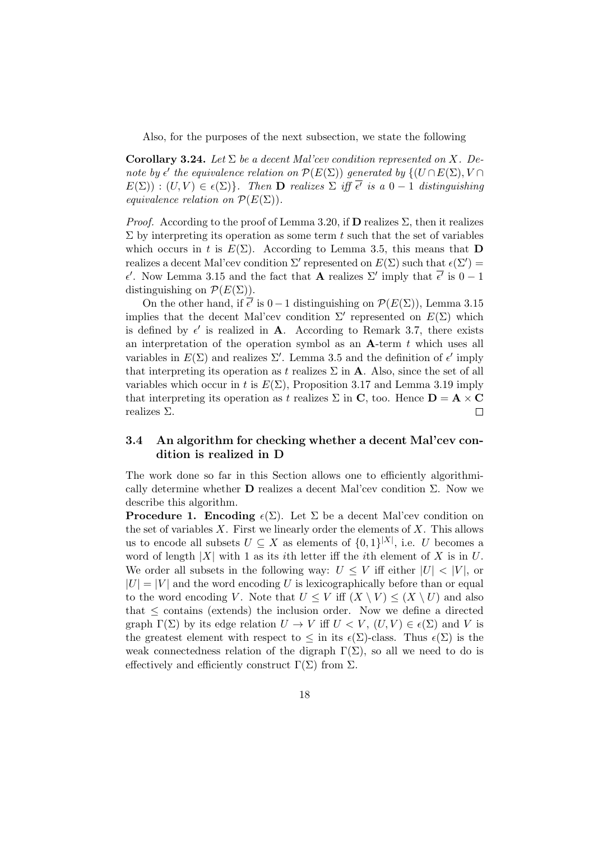Also, for the purposes of the next subsection, we state the following

Corollary 3.24. Let  $\Sigma$  be a decent Mal'cev condition represented on X. Denote by  $\epsilon'$  the equivalence relation on  $\mathcal{P}(E(\Sigma))$  generated by  $\{ (U \cap E(\Sigma), V \cap$  $E(\Sigma) : (U, V) \in \epsilon(\Sigma)$ . Then **D** realizes  $\Sigma$  iff  $\overline{\epsilon'}$  is a  $0 - 1$  distinguishing equivalence relation on  $\mathcal{P}(E(\Sigma)).$ 

*Proof.* According to the proof of Lemma 3.20, if  $D$  realizes  $\Sigma$ , then it realizes  $\Sigma$  by interpreting its operation as some term t such that the set of variables which occurs in t is  $E(\Sigma)$ . According to Lemma 3.5, this means that **D** realizes a decent Mal'cev condition  $\Sigma'$  represented on  $E(\Sigma)$  such that  $\epsilon(\Sigma') =$  $\epsilon'$ . Now Lemma 3.15 and the fact that **A** realizes Σ' imply that  $\overline{\epsilon'}$  is  $0-1$ distinguishing on  $\mathcal{P}(E(\Sigma)).$ 

On the other hand, if  $\bar{\epsilon'}$  is  $0-1$  distinguishing on  $\mathcal{P}(E(\Sigma))$ , Lemma 3.15 implies that the decent Mal'cev condition  $\Sigma'$  represented on  $E(\Sigma)$  which is defined by  $\epsilon'$  is realized in **A**. According to Remark 3.7, there exists an interpretation of the operation symbol as an  $A$ -term  $t$  which uses all variables in  $E(\Sigma)$  and realizes  $\Sigma'$ . Lemma 3.5 and the definition of  $\epsilon'$  imply that interpreting its operation as t realizes  $\Sigma$  in **A**. Also, since the set of all variables which occur in t is  $E(\Sigma)$ , Proposition 3.17 and Lemma 3.19 imply that interpreting its operation as t realizes  $\Sigma$  in C, too. Hence  $D = A \times C$ realizes Σ.  $\Box$ 

#### 3.4 An algorithm for checking whether a decent Mal'cev condition is realized in D

The work done so far in this Section allows one to efficiently algorithmically determine whether  **realizes a decent Mal'cev condition**  $\Sigma$ **. Now we** describe this algorithm.

**Procedure 1. Encoding**  $\epsilon(\Sigma)$ . Let  $\Sigma$  be a decent Mal'cev condition on the set of variables  $X$ . First we linearly order the elements of  $X$ . This allows us to encode all subsets  $U \subseteq X$  as elements of  $\{0,1\}^{|X|}$ , i.e. U becomes a word of length |X| with 1 as its *i*th letter iff the *i*th element of X is in U. We order all subsets in the following way:  $U \leq V$  iff either  $|U| < |V|$ , or  $|U| = |V|$  and the word encoding U is lexicographically before than or equal to the word encoding V. Note that  $U \leq V$  iff  $(X \setminus V) \leq (X \setminus U)$  and also that  $\leq$  contains (extends) the inclusion order. Now we define a directed graph  $\Gamma(\Sigma)$  by its edge relation  $U \to V$  iff  $U \subset V$ ,  $(U, V) \in \epsilon(\Sigma)$  and V is the greatest element with respect to  $\leq$  in its  $\epsilon(\Sigma)$ -class. Thus  $\epsilon(\Sigma)$  is the weak connectedness relation of the digraph  $\Gamma(\Sigma)$ , so all we need to do is effectively and efficiently construct  $\Gamma(\Sigma)$  from  $\Sigma$ .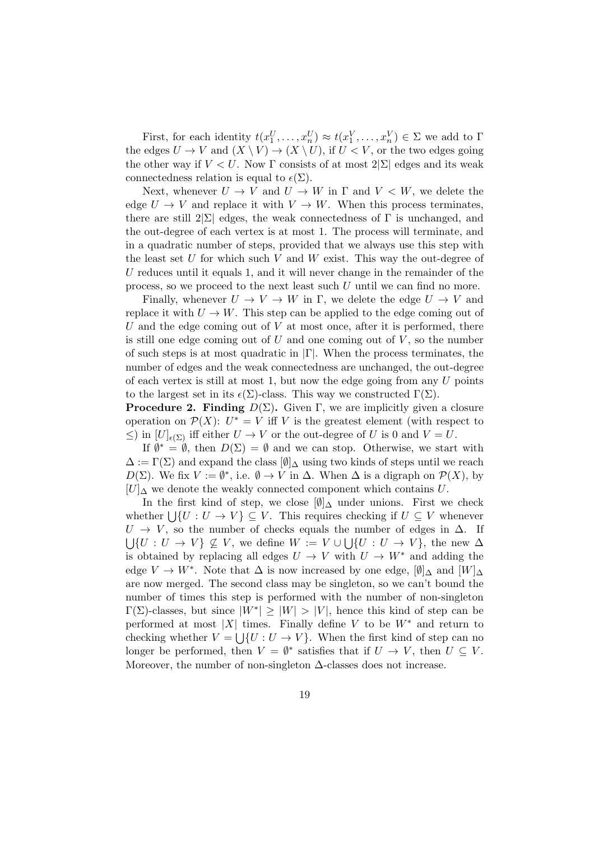First, for each identity  $t(x_1^U, \ldots, x_n^U) \approx t(x_1^V, \ldots, x_n^V) \in \Sigma$  we add to  $\Gamma$ the edges  $U \to V$  and  $(X \setminus V) \to (X \setminus U)$ , if  $U \lt V$ , or the two edges going the other way if  $V < U$ . Now Γ consists of at most  $2|\Sigma|$  edges and its weak connectedness relation is equal to  $\epsilon(\Sigma)$ .

Next, whenever  $U \to V$  and  $U \to W$  in  $\Gamma$  and  $V \lt W$ , we delete the edge  $U \to V$  and replace it with  $V \to W$ . When this process terminates, there are still  $2|\Sigma|$  edges, the weak connectedness of  $\Gamma$  is unchanged, and the out-degree of each vertex is at most 1. The process will terminate, and in a quadratic number of steps, provided that we always use this step with the least set  $U$  for which such  $V$  and  $W$  exist. This way the out-degree of U reduces until it equals 1, and it will never change in the remainder of the process, so we proceed to the next least such U until we can find no more.

Finally, whenever  $U \to V \to W$  in  $\Gamma$ , we delete the edge  $U \to V$  and replace it with  $U \to W$ . This step can be applied to the edge coming out of U and the edge coming out of  $V$  at most once, after it is performed, there is still one edge coming out of  $U$  and one coming out of  $V$ , so the number of such steps is at most quadratic in |Γ|. When the process terminates, the number of edges and the weak connectedness are unchanged, the out-degree of each vertex is still at most 1, but now the edge going from any  $U$  points to the largest set in its  $\epsilon(\Sigma)$ -class. This way we constructed  $\Gamma(\Sigma)$ .

**Procedure 2. Finding**  $D(\Sigma)$ . Given Γ, we are implicitly given a closure operation on  $\mathcal{P}(X)$ :  $U^* = V$  iff V is the greatest element (with respect to  $\leq$ ) in  $[U]_{\epsilon(\Sigma)}$  iff either  $U \to V$  or the out-degree of U is 0 and  $V = U$ .

If  $\emptyset^* = \emptyset$ , then  $D(\Sigma) = \emptyset$  and we can stop. Otherwise, we start with  $\Delta := \Gamma(\Sigma)$  and expand the class  $[\emptyset]_{\Delta}$  using two kinds of steps until we reach  $D(\Sigma)$ . We fix  $V := \emptyset^*$ , i.e.  $\emptyset \to V$  in  $\Delta$ . When  $\Delta$  is a digraph on  $\mathcal{P}(X)$ , by  $[U]$ <sup> $\Delta$ </sup> we denote the weakly connected component which contains U.

In the first kind of step, we close  $[\emptyset]_{\Delta}$  under unions. First we check whether  $\bigcup \{U : U \to V\} \subseteq V$ . This requires checking if  $U \subseteq V$  whenever  $U \rightarrow V$ , so the number of checks equals the number of edges in  $\Delta$ . If  $\bigcup \{U: U \to V\} \nsubseteq V$ , we define  $W := V \cup \bigcup \{U: U \to V\}$ , the new  $\Delta$ is obtained by replacing all edges  $U \to V$  with  $U \to W^*$  and adding the edge  $V \to W^*$ . Note that  $\Delta$  is now increased by one edge,  $[\emptyset]_{\Delta}$  and  $[W]_{\Delta}$ are now merged. The second class may be singleton, so we can't bound the number of times this step is performed with the number of non-singleton  $\Gamma(\Sigma)$ -classes, but since  $|W^*| \geq |W| > |V|$ , hence this kind of step can be performed at most |X| times. Finally define V to be  $W^*$  and return to checking whether  $V = \bigcup \{U : U \to V\}$ . When the first kind of step can no longer be performed, then  $V = \emptyset^*$  satisfies that if  $U \to V$ , then  $U \subseteq V$ . Moreover, the number of non-singleton  $\Delta$ -classes does not increase.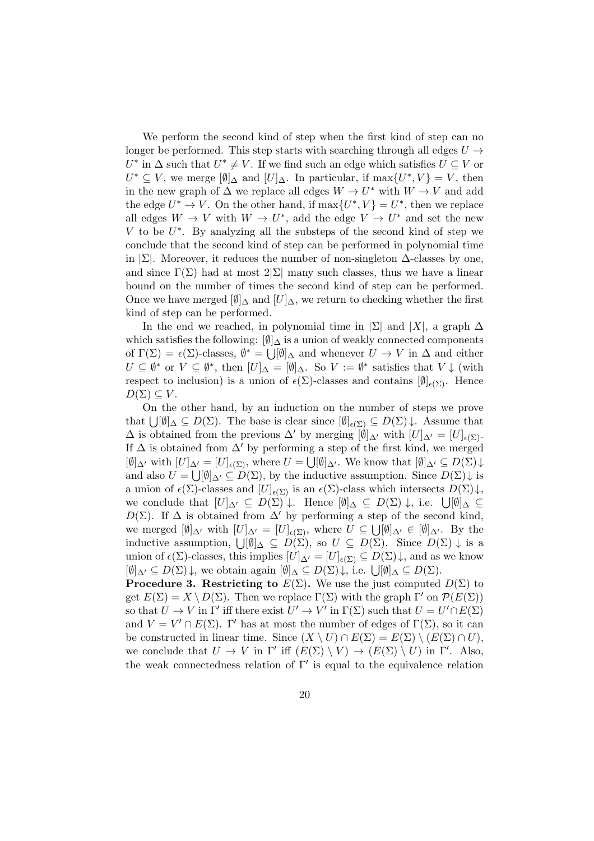We perform the second kind of step when the first kind of step can no longer be performed. This step starts with searching through all edges  $U \rightarrow$  $U^*$  in  $\Delta$  such that  $U^* \neq V$ . If we find such an edge which satisfies  $U \subseteq V$  or  $U^* \subseteq V$ , we merge  $[\emptyset]_{\Delta}$  and  $[U]_{\Delta}$ . In particular, if max $\{U^*, V\} = V$ , then in the new graph of  $\Delta$  we replace all edges  $W \to U^*$  with  $W \to V$  and add the edge  $U^* \to V$ . On the other hand, if  $\max\{U^*, V\} = U^*$ , then we replace all edges  $W \to V$  with  $W \to U^*$ , add the edge  $V \to U^*$  and set the new  $V$  to be  $U^*$ . By analyzing all the substeps of the second kind of step we conclude that the second kind of step can be performed in polynomial time in  $\Sigma$ . Moreover, it reduces the number of non-singleton  $\Delta$ -classes by one, and since  $\Gamma(\Sigma)$  had at most  $2|\Sigma|$  many such classes, thus we have a linear bound on the number of times the second kind of step can be performed. Once we have merged  $[\emptyset]_{\Delta}$  and  $[U]_{\Delta}$ , we return to checking whether the first kind of step can be performed.

In the end we reached, in polynomial time in  $|\Sigma|$  and  $|X|$ , a graph  $\Delta$ which satisfies the following:  $[\emptyset]_{\Delta}$  is a union of weakly connected components of  $\Gamma(\Sigma) = \epsilon(\Sigma)$ -classes,  $\emptyset^* = \bigcup_{\alpha} [\emptyset]_{\Delta}$  and whenever  $U \to V$  in  $\Delta$  and either  $U \subseteq \emptyset^*$  or  $V \subseteq \emptyset^*$ , then  $[U]_{\Delta} = [\emptyset]_{\Delta}$ . So  $V := \emptyset^*$  satisfies that  $V \downarrow$  (with respect to inclusion) is a union of  $\epsilon(\Sigma)$ -classes and contains  $[\emptyset]_{\epsilon(\Sigma)}$ . Hence  $D(\Sigma) \subseteq V$ .

On the other hand, by an induction on the number of steps we prove that  $\bigcup [\emptyset]_{\Delta} \subseteq D(\Sigma)$ . The base is clear since  $[\emptyset]_{\epsilon(\Sigma)} \subseteq D(\Sigma) \downarrow$ . Assume that  $\Delta$  is obtained from the previous  $\Delta'$  by merging  $[\emptyset]_{\Delta'}$  with  $[U]_{\Delta'} = [U]_{\epsilon(\Sigma)}$ . If  $\Delta$  is obtained from  $\Delta'$  by performing a step of the first kind, we merged  $[\emptyset]_{\Delta'}$  with  $[U]_{\Delta'} = [U]_{\epsilon(\Sigma)}$ , where  $U = \bigcup [\emptyset]_{\Delta'}$ . We know that  $[\emptyset]_{\Delta'} \subseteq D(\Sigma) \downarrow$ and also  $U = \bigcup [\emptyset]_{\Delta'} \subseteq D(\Sigma)$ , by the inductive assumption. Since  $D(\Sigma) \downarrow$  is a union of  $\epsilon(\Sigma)$ -classes and  $[U]_{\epsilon(\Sigma)}$  is an  $\epsilon(\Sigma)$ -class which intersects  $D(\Sigma)\downarrow$ , we conclude that  $[U]_{\Delta'} \subseteq D(\Sigma) \downarrow$ . Hence  $[\emptyset]_{\Delta} \subseteq D(\Sigma) \downarrow$ , i.e.  $\bigcup [\emptyset]_{\Delta} \subseteq$  $D(\Sigma)$ . If  $\Delta$  is obtained from  $\Delta'$  by performing a step of the second kind, we merged  $[\emptyset]_{\Delta'}$  with  $[U]_{\Delta'} = [U]_{\epsilon(\Sigma)}$ , where  $U \subseteq \bigcup [\emptyset]_{\Delta'} \in [\emptyset]_{\Delta'}$ . By the inductive assumption,  $\bigcup [\emptyset]_{\Delta} \subseteq D(\Sigma)$ , so  $U \subseteq D(\Sigma)$ . Since  $D(\Sigma) \downarrow$  is a union of  $\epsilon(\Sigma)$ -classes, this implies  $[U]_{\Delta'} = [U]_{\epsilon(\Sigma)} \subseteq D(\Sigma) \downarrow$ , and as we know  $[\emptyset]_{\Delta'} \subseteq D(\Sigma)\downarrow$ , we obtain again  $[\emptyset]_{\Delta} \subseteq D(\Sigma)\downarrow$ , i.e.  $\bigcup[\emptyset]_{\Delta} \subseteq D(\Sigma)$ .

**Procedure 3. Restricting to**  $E(\Sigma)$ . We use the just computed  $D(\Sigma)$  to get  $E(\Sigma) = X \setminus D(\Sigma)$ . Then we replace  $\Gamma(\Sigma)$  with the graph  $\Gamma'$  on  $\mathcal{P}(E(\Sigma))$ so that  $U \to V$  in  $\Gamma'$  iff there exist  $U' \to V'$  in  $\Gamma(\Sigma)$  such that  $U = U' \cap E(\Sigma)$ and  $V = V' \cap E(\Sigma)$ . Γ' has at most the number of edges of  $\Gamma(\Sigma)$ , so it can be constructed in linear time. Since  $(X \setminus U) \cap E(\Sigma) = E(\Sigma) \setminus (E(\Sigma) \cap U)$ , we conclude that  $U \to V$  in  $\Gamma'$  iff  $(E(\Sigma) \setminus V) \to (E(\Sigma) \setminus U)$  in  $\Gamma'$ . Also, the weak connectedness relation of  $\Gamma'$  is equal to the equivalence relation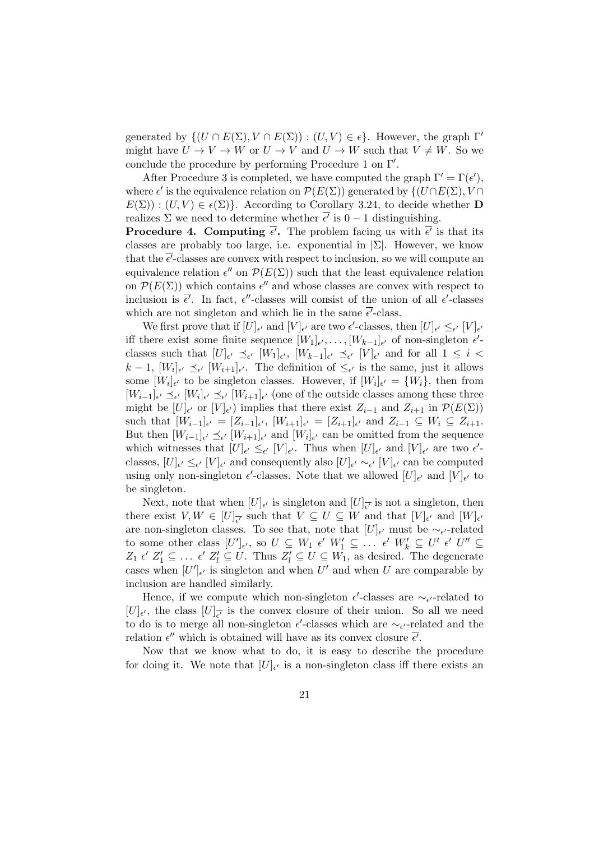generated by  $\{(U \cap E(\Sigma), V \cap E(\Sigma)) : (U, V) \in \epsilon\}$ . However, the graph  $\Gamma'$ might have  $U \to V \to W$  or  $U \to V$  and  $U \to W$  such that  $V \neq W$ . So we conclude the procedure by performing Procedure 1 on  $\Gamma'$ .

After Procedure 3 is completed, we have computed the graph  $\Gamma' = \Gamma(\epsilon'),$ where  $\epsilon'$  is the equivalence relation on  $\mathcal{P}(E(\Sigma))$  generated by  $\{(U \cap E(\Sigma), V \cap$  $E(\Sigma)$ :  $(U, V) \in \epsilon(\Sigma)$ . According to Corollary 3.24, to decide whether **D** realizes  $\Sigma$  we need to determine whether  $\overline{\epsilon'}$  is  $0-1$  distinguishing.

**Procedure 4. Computing**  $\overline{\epsilon'}$ **.** The problem facing us with  $\overline{\epsilon'}$  is that its classes are probably too large, i.e. exponential in  $|\Sigma|$ . However, we know that the  $\bar{\epsilon'}$ -classes are convex with respect to inclusion, so we will compute an equivalence relation  $\epsilon''$  on  $\mathcal{P}(E(\Sigma))$  such that the least equivalence relation on  $\mathcal{P}(E(\Sigma))$  which contains  $\epsilon''$  and whose classes are convex with respect to inclusion is  $\bar{\epsilon'}$ . In fact,  $\epsilon''$ -classes will consist of the union of all  $\epsilon'$ -classes which are not singleton and which lie in the same  $\overline{\epsilon'}$ -class.

We first prove that if  $[U]_{\epsilon'}$  and  $[V]_{\epsilon'}$  are two  $\epsilon'$ -classes, then  $[U]_{\epsilon'} \leq_{\epsilon'} [V]_{\epsilon'}$ iff there exist some finite sequence  $[W_1]_{\epsilon'}, \ldots, [W_{k-1}]_{\epsilon'}$  of non-singleton  $\epsilon'$ classes such that  $[U]_{\epsilon'} \preceq_{\epsilon'} [W_1]_{\epsilon'}, [W_{k-1}]_{\epsilon'} \preceq_{\epsilon'} [V]_{\epsilon'}$  and for all  $1 \leq i <$  $k-1$ ,  $[W_i]_{\epsilon'} \preceq_{\epsilon'} [W_{i+1}]_{\epsilon'}$ . The definition of  $\leq_{\epsilon'}$  is the same, just it allows some  $[W_i]_{\epsilon'}$  to be singleton classes. However, if  $[W_i]_{\epsilon'} = \{W_i\}$ , then from  $[W_{i-1}]_{\epsilon'} \preceq_{\epsilon'} [W_i]_{\epsilon'} \preceq_{\epsilon'} [W_{i+1}]_{\epsilon'}$  (one of the outside classes among these three might be  $[U]_{\epsilon'}$  or  $[V]_{\epsilon'}$  implies that there exist  $Z_{i-1}$  and  $Z_{i+1}$  in  $\mathcal{P}(E(\Sigma))$ such that  $[W_{i-1}]_{\epsilon'} = [Z_{i-1}]_{\epsilon'}$ ,  $[W_{i+1}]_{\epsilon'} = [Z_{i+1}]_{\epsilon'}$  and  $Z_{i-1} \subseteq W_i \subseteq Z_{i+1}$ . But then  $[W_{i-1}]_{\epsilon'} \preceq_{\epsilon'} [W_{i+1}]_{\epsilon'}$  and  $[W_i]_{\epsilon'}$  can be omitted from the sequence which witnesses that  $[U]_{\epsilon'} \leq_{\epsilon'} [V]_{\epsilon'}$ . Thus when  $[U]_{\epsilon'}$  and  $[V]_{\epsilon'}$  are two  $\epsilon'$ classes,  $[U]_{\epsilon'} \leq_{\epsilon'} [V]_{\epsilon'}$  and consequently also  $[U]_{\epsilon'} \sim_{\epsilon'} [V]_{\epsilon'}$  can be computed using only non-singleton  $\epsilon'$ -classes. Note that we allowed  $[U]_{\epsilon'}$  and  $[V]_{\epsilon'}$  to be singleton.

Next, note that when  $[U]_{\epsilon'}$  is singleton and  $[U]_{\overline{\epsilon'}}$  is not a singleton, then there exist  $V, W \in [U]_{\overline{\epsilon'}}$  such that  $V \subseteq U \subseteq W$  and that  $[V]_{\epsilon'}$  and  $[W]_{\epsilon'}$ are non-singleton classes. To see that, note that  $[U]_{\epsilon'}$  must be  $\sim_{\epsilon'}$ -related to some other class  $[U']_{\epsilon'}$ , so  $U \subseteq W_1 \epsilon' W_1' \subseteq \ldots \epsilon' W_k' \subseteq U' \epsilon' U'' \subseteq$  $Z_1 \epsilon' Z_1' \subseteq \ldots \epsilon' Z_l' \subseteq U$ . Thus  $Z_l' \subseteq U \subseteq W_1$ , as desired. The degenerate cases when  $[U']_{\epsilon'}$  is singleton and when U' and when U are comparable by inclusion are handled similarly.

Hence, if we compute which non-singleton  $\epsilon'$ -classes are  $\sim_{\epsilon'}$ -related to  $[U]_{\epsilon'}$ , the class  $[U]_{\overline{\epsilon'}}$  is the convex closure of their union. So all we need to do is to merge all non-singleton  $\epsilon'$ -classes which are  $\sim_{\epsilon'}$ -related and the relation  $\epsilon''$  which is obtained will have as its convex closure  $\overline{\epsilon'}$ .

Now that we know what to do, it is easy to describe the procedure for doing it. We note that  $[U]_{\epsilon'}$  is a non-singleton class iff there exists an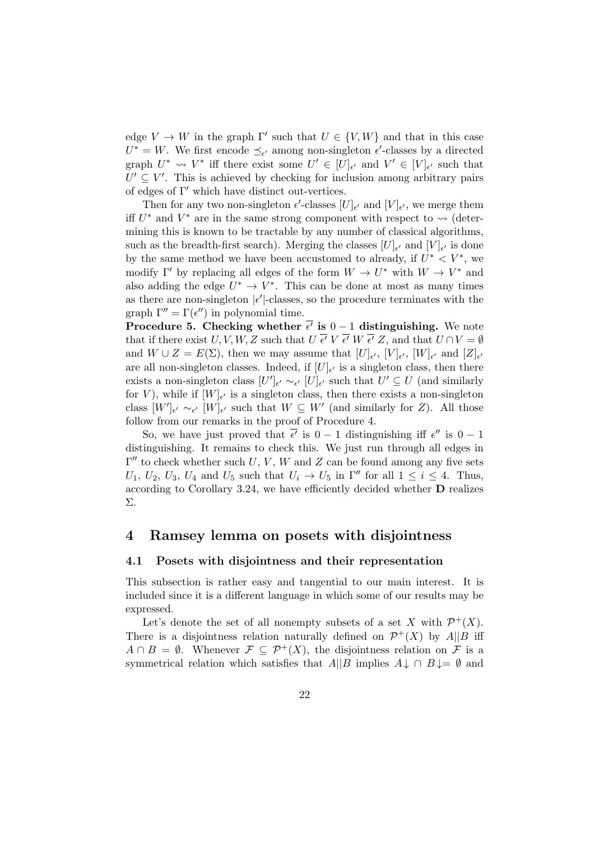edge  $V \to W$  in the graph  $\Gamma'$  such that  $U \in \{V, W\}$  and that in this case  $U^* = W$ . We first encode  $\preceq_{\epsilon'}$  among non-singleton  $\epsilon'$ -classes by a directed graph  $U^* \rightsquigarrow V^*$  iff there exist some  $U' \in [U]_{\epsilon'}$  and  $V' \in [V]_{\epsilon'}$  such that  $U' \subseteq V'$ . This is achieved by checking for inclusion among arbitrary pairs of edges of  $\Gamma'$  which have distinct out-vertices.

Then for any two non-singleton  $\epsilon'$ -classes  $[U]_{\epsilon'}$  and  $[V]_{\epsilon'}$ , we merge them iff  $U^*$  and  $V^*$  are in the same strong component with respect to  $\leadsto$  (determining this is known to be tractable by any number of classical algorithms, such as the breadth-first search). Merging the classes  $[U]_{\epsilon'}$  and  $[V]_{\epsilon'}$  is done by the same method we have been accustomed to already, if  $U^* < V^*$ , we modify  $\Gamma'$  by replacing all edges of the form  $W \to U^*$  with  $W \to V^*$  and also adding the edge  $U^* \to V^*$ . This can be done at most as many times as there are non-singleton  $|\epsilon'|$ -classes, so the procedure terminates with the graph  $\Gamma'' = \Gamma(\epsilon'')$  in polynomial time.

Procedure 5. Checking whether  $\bar{\epsilon'}$  is  $0-1$  distinguishing. We note that if there exist  $U, V, W, Z$  such that  $U \overline{\epsilon'} V \overline{\epsilon'} W \overline{\epsilon'} Z$ , and that  $U \cap V = \emptyset$ and  $W \cup Z = E(\Sigma)$ , then we may assume that  $[U]_{\epsilon'}$ ,  $[V]_{\epsilon'}$ ,  $[W]_{\epsilon'}$  and  $[Z]_{\epsilon'}$ are all non-singleton classes. Indeed, if  $[U]_{\epsilon'}$  is a singleton class, then there exists a non-singleton class  $[U']_{\epsilon'} \sim_{\epsilon'} [U]_{\epsilon'}$  such that  $U' \subseteq U$  (and similarly for V), while if  $[W]_{\epsilon'}$  is a singleton class, then there exists a non-singleton class  $[W']_{\epsilon'} \sim_{\epsilon'} [W]_{\epsilon'}$  such that  $W \subseteq W'$  (and similarly for Z). All those follow from our remarks in the proof of Procedure 4.

So, we have just proved that  $\overline{\epsilon'}$  is  $0-1$  distinguishing iff  $\epsilon''$  is  $0-1$ distinguishing. It remains to check this. We just run through all edges in  $\Gamma''$  to check whether such U, V, W and Z can be found among any five sets  $U_1, U_2, U_3, U_4$  and  $U_5$  such that  $U_i \rightarrow U_5$  in  $\Gamma''$  for all  $1 \leq i \leq 4$ . Thus, according to Corollary 3.24, we have efficiently decided whether D realizes Σ.

#### 4 Ramsey lemma on posets with disjointness

#### 4.1 Posets with disjointness and their representation

This subsection is rather easy and tangential to our main interest. It is included since it is a different language in which some of our results may be expressed.

Let's denote the set of all nonempty subsets of a set X with  $\mathcal{P}^+(X)$ . There is a disjointness relation naturally defined on  $\mathcal{P}^{+}(X)$  by  $A||B$  iff  $A \cap B = \emptyset$ . Whenever  $\mathcal{F} \subseteq \mathcal{P}^+(X)$ , the disjointness relation on  $\mathcal F$  is a symmetrical relation which satisfies that  $A||B$  implies  $A \downarrow \cap B \downarrow = \emptyset$  and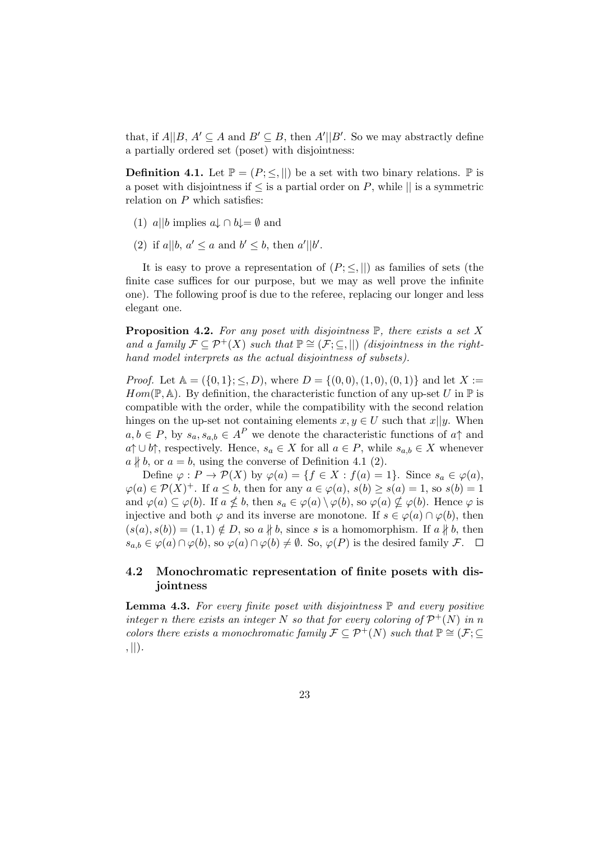that, if  $A||B, A' \subseteq A$  and  $B' \subseteq B$ , then  $A'||B'$ . So we may abstractly define a partially ordered set (poset) with disjointness:

**Definition 4.1.** Let  $\mathbb{P} = (P; \leq, \|)$  be a set with two binary relations.  $\mathbb{P}$  is a poset with disjointness if  $\leq$  is a partial order on P, while  $\parallel$  is a symmetric relation on  $P$  which satisfies:

- (1) a||b implies  $a \downarrow \cap b \downarrow = \emptyset$  and
- (2) if  $a||b, a' \le a$  and  $b' \le b$ , then  $a'||b'$ .

It is easy to prove a representation of  $(P; \leq, ||)$  as families of sets (the finite case suffices for our purpose, but we may as well prove the infinite one). The following proof is due to the referee, replacing our longer and less elegant one.

**Proposition 4.2.** For any poset with disjointness  $\mathbb{P}$ , there exists a set X and a family  $\mathcal{F} \subseteq \mathcal{P}^+(X)$  such that  $\mathbb{P} \cong (\mathcal{F}; \subseteq, ||)$  (disjointness in the righthand model interprets as the actual disjointness of subsets).

*Proof.* Let  $A = (\{0, 1\}; \le, D)$ , where  $D = \{(0, 0), (1, 0), (0, 1)\}$  and let  $X :=$  $Hom(\mathbb{P}, \mathbb{A})$ . By definition, the characteristic function of any up-set U in  $\mathbb P$  is compatible with the order, while the compatibility with the second relation hinges on the up-set not containing elements  $x, y \in U$  such that  $x||y$ . When  $a, b \in P$ , by  $s_a, s_{a,b} \in A^P$  we denote the characteristic functions of  $a \uparrow$  and  $a \uparrow \cup b \uparrow$ , respectively. Hence,  $s_a \in X$  for all  $a \in P$ , while  $s_{a,b} \in X$  whenever  $a \nparallel b$ , or  $a = b$ , using the converse of Definition 4.1 (2).

Define  $\varphi: P \to \mathcal{P}(X)$  by  $\varphi(a) = \{f \in X : f(a) = 1\}$ . Since  $s_a \in \varphi(a)$ ,  $\varphi(a) \in \mathcal{P}(X)^{+}$ . If  $a \leq b$ , then for any  $a \in \varphi(a)$ ,  $s(b) \geq s(a) = 1$ , so  $s(b) = 1$ and  $\varphi(a) \subseteq \varphi(b)$ . If  $a \nleq b$ , then  $s_a \in \varphi(a) \setminus \varphi(b)$ , so  $\varphi(a) \nsubseteq \varphi(b)$ . Hence  $\varphi$  is injective and both  $\varphi$  and its inverse are monotone. If  $s \in \varphi(a) \cap \varphi(b)$ , then  $(s(a), s(b)) = (1, 1) \notin D$ , so  $a \nparallel b$ , since s is a homomorphism. If  $a \nparallel b$ , then  $s_{a,b} \in \varphi(a) \cap \varphi(b)$ , so  $\varphi(a) \cap \varphi(b) \neq \emptyset$ . So,  $\varphi(P)$  is the desired family  $\mathcal{F}$ .  $\Box$ 

#### 4.2 Monochromatic representation of finite posets with disjointness

**Lemma 4.3.** For every finite poset with disjointness  $\mathbb P$  and every positive integer n there exists an integer N so that for every coloring of  $\mathcal{P}^+(N)$  in n colors there exists a monochromatic family  $\mathcal{F} \subset \mathcal{P}^+(N)$  such that  $\mathbb{P} \cong (\mathcal{F}; \subset$  $, ||)$ .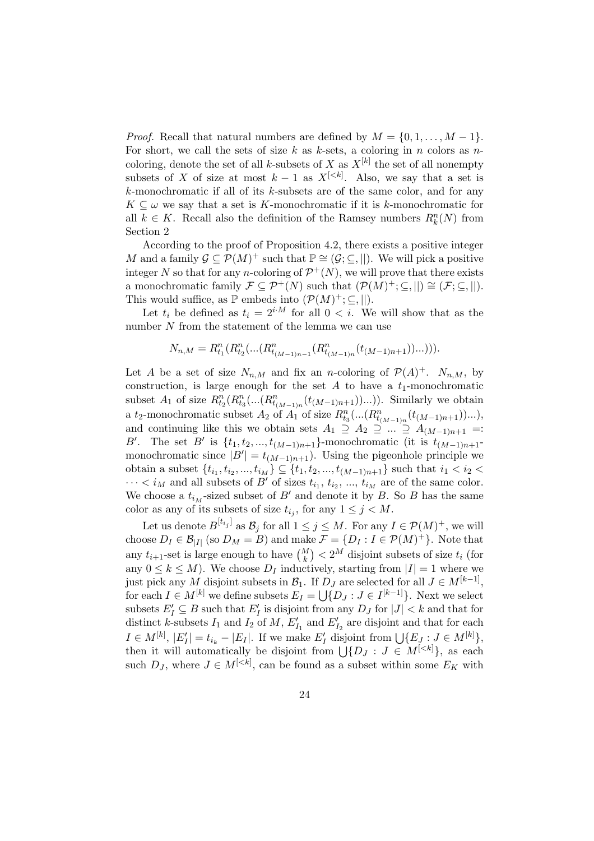*Proof.* Recall that natural numbers are defined by  $M = \{0, 1, \ldots, M-1\}.$ For short, we call the sets of size k as k-sets, a coloring in n colors as  $n$ coloring, denote the set of all k-subsets of X as  $X^{[k]}$  the set of all nonempty subsets of X of size at most  $k-1$  as  $X^{[\leq k]}$ . Also, we say that a set is k-monochromatic if all of its k-subsets are of the same color, and for any  $K \subseteq \omega$  we say that a set is K-monochromatic if it is k-monochromatic for all  $k \in K$ . Recall also the definition of the Ramsey numbers  $R_k^n(N)$  from Section 2

According to the proof of Proposition 4.2, there exists a positive integer M and a family  $\mathcal{G} \subseteq \mathcal{P}(M)^+$  such that  $\mathbb{P} \cong (\mathcal{G}; \subseteq, ||)$ . We will pick a positive integer N so that for any n-coloring of  $\mathcal{P}^+(N)$ , we will prove that there exists a monochromatic family  $\mathcal{F} \subseteq \mathcal{P}^+(N)$  such that  $(\mathcal{P}(M)^+; \subseteq, ||) \cong (\mathcal{F}; \subseteq, ||)$ . This would suffice, as  $\mathbb P$  embeds into  $(\mathcal P(M)^+;\subseteq,||)$ .

Let  $t_i$  be defined as  $t_i = 2^{i \cdot M}$  for all  $0 < i$ . We will show that as the number  $N$  from the statement of the lemma we can use

$$
N_{n,M} = R_{t_1}^n(R_{t_2}^n(\ldots(R_{t_{(M-1)n-1}}^n(R_{t_{(M-1)n}}^n(t_{(M-1)n+1}))\ldots))).
$$

Let A be a set of size  $N_{n,M}$  and fix an n-coloring of  $\mathcal{P}(A)^+$ .  $N_{n,M}$ , by construction, is large enough for the set  $A$  to have a  $t_1$ -monochromatic subset  $A_1$  of size  $R_{t_2}^n(R_{t_3}^n(...(R_{t_{(M-1)n}}^n(t_{(M-1)n+1}))...)).$  Similarly we obtain a t<sub>2</sub>-monochromatic subset  $A_2$  of  $A_1$  of size  $R_{t_3}^n(...(R_{t_{(M-1)n}}^n(t_{(M-1)n+1}))...),$ and continuing like this we obtain sets  $A_1 \supseteq A_2 \supseteqeqeqeqeqeqeq::\supseteq A_{(M-1)n+1} =:$ B'. The set B' is  $\{t_1, t_2, ..., t_{(M-1)n+1}\}$ -monochromatic (it is  $t_{(M-1)n+1}$ monochromatic since  $|B'| = t_{(M-1)n+1}$ . Using the pigeonhole principle we obtain a subset  $\{t_{i_1}, t_{i_2}, ..., t_{i_M}\} \subseteq \{t_1, t_2, ..., t_{(M-1)n+1}\}$  such that  $i_1 < i_2$  $\cdots < i_M$  and all subsets of B' of sizes  $t_{i_1}, t_{i_2}, \ldots, t_{i_M}$  are of the same color. We choose a  $t_{i_M}$ -sized subset of B' and denote it by B. So B has the same color as any of its subsets of size  $t_{i_j}$ , for any  $1 \leq j \leq M$ .

Let us denote  $B^{[t_{i_j}]}$  as  $\mathcal{B}_j$  for all  $1 \leq j \leq M$ . For any  $I \in \mathcal{P}(M)^+$ , we will choose  $D_I \in \mathcal{B}_{|I|}$  (so  $D_M = B$ ) and make  $\mathcal{F} = \{D_I : I \in \mathcal{P}(M)^+\}$ . Note that any  $t_{i+1}$ -set is large enough to have  $\binom{M}{k} < 2^M$  disjoint subsets of size  $t_i$  (for any  $0 \leq k \leq M$ ). We choose  $D_I$  inductively, starting from  $|I|=1$  where we just pick any M disjoint subsets in  $\mathcal{B}_1$ . If  $D_J$  are selected for all  $J \in M^{[k-1]}$ , for each  $I \in M^{[k]}$  we define subsets  $E_I = \bigcup \{D_J : J \in I^{[k-1]}\}\.$  Next we select subsets  $E'_I \subseteq B$  such that  $E'_I$  is disjoint from any  $D_J$  for  $|J| < k$  and that for distinct k-subsets  $I_1$  and  $I_2$  of  $M$ ,  $E'_{I_1}$  and  $E'_{I_2}$  are disjoint and that for each  $I \in M^{[k]}, |E'_I| = t_{i_k} - |E_I|$ . If we make  $E'_I$  disjoint from  $\bigcup \{E_J : J \in M^{[k]}\},$ then it will automatically be disjoint from  $\bigcup \{D_J : J \in M^{[\langle k]}\}\$ , as each such  $D_J$ , where  $J \in M^{[\langle k]}$ , can be found as a subset within some  $E_K$  with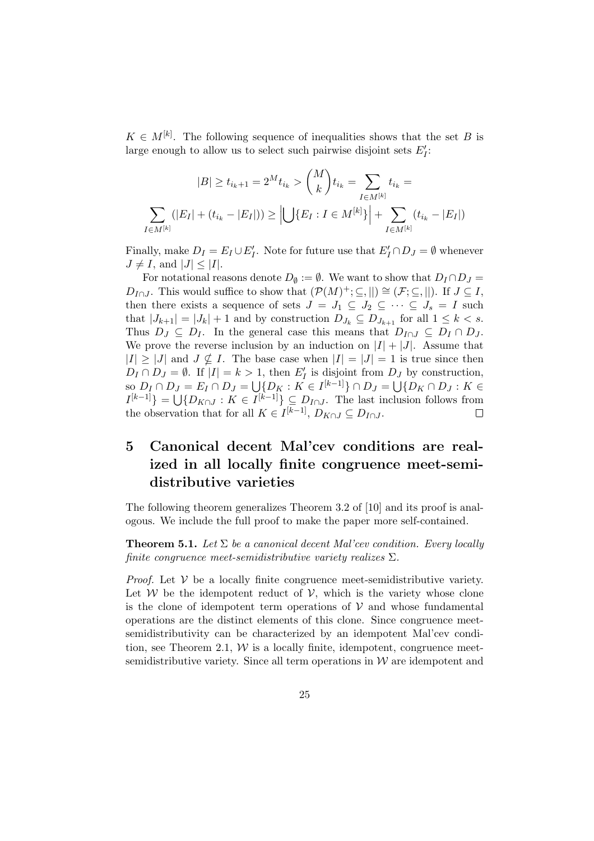$K \in M^{[k]}$ . The following sequence of inequalities shows that the set B is large enough to allow us to select such pairwise disjoint sets  $E'_I$ :

$$
|B| \ge t_{i_k+1} = 2^M t_{i_k} > {M \choose k} t_{i_k} = \sum_{I \in M^{[k]}} t_{i_k} = \sum_{I \in M^{[k]}} (|E_I| + (t_{i_k} - |E_I|)) \ge \left| \bigcup \{ E_I : I \in M^{[k]} \} \right| + \sum_{I \in M^{[k]}} (t_{i_k} - |E_I|)
$$

Finally, make  $D_I = E_I \cup E'_I$ . Note for future use that  $E'_I \cap D_J = \emptyset$  whenever  $J \neq I$ , and  $|J| \leq |I|.$ 

For notational reasons denote  $D_{\emptyset} := \emptyset$ . We want to show that  $D_I \cap D_J =$  $D_{I \cap J}$ . This would suffice to show that  $(\mathcal{P}(M)^+;\subseteq,||)\cong (\mathcal{F};\subseteq,||)$ . If  $J\subseteq I$ , then there exists a sequence of sets  $J = J_1 \subseteq J_2 \subseteq \cdots \subseteq J_s = I$  such that  $|J_{k+1}| = |J_k| + 1$  and by construction  $D_{J_k} \subseteq D_{J_{k+1}}$  for all  $1 \leq k < s$ . Thus  $D_J \subseteq D_I$ . In the general case this means that  $D_{I \cap J} \subseteq D_I \cap D_J$ . We prove the reverse inclusion by an induction on  $|I| + |J|$ . Assume that  $|I| \geq |J|$  and  $J \nsubseteq I$ . The base case when  $|I| = |J| = 1$  is true since then  $D_I \cap D_J = \emptyset$ . If  $|I| = k > 1$ , then  $E'_I$  is disjoint from  $D_J$  by construction, so  $D_I \cap D_J = E_I \cap D_J = \bigcup \{D_K : K \in I^{[k-1]} \} \cap D_J = \bigcup \{D_K \cap D_J : K \in$  $I^{[k-1]}$ } =  $\bigcup \{D_{K\cap J} : K \in I^{[k-1]} \} \subseteq D_{I\cap J}$ . The last inclusion follows from the observation that for all  $K \in I^{[k-1]}$ ,  $D_{K \cap J} \subseteq D_{I \cap J}$ .

## 5 Canonical decent Mal'cev conditions are realized in all locally finite congruence meet-semidistributive varieties

The following theorem generalizes Theorem 3.2 of [10] and its proof is analogous. We include the full proof to make the paper more self-contained.

**Theorem 5.1.** Let  $\Sigma$  be a canonical decent Mal'cev condition. Every locally finite congruence meet-semidistributive variety realizes  $\Sigma$ .

*Proof.* Let  $V$  be a locally finite congruence meet-semidistributive variety. Let  $W$  be the idempotent reduct of  $V$ , which is the variety whose clone is the clone of idempotent term operations of  $V$  and whose fundamental operations are the distinct elements of this clone. Since congruence meetsemidistributivity can be characterized by an idempotent Mal'cev condition, see Theorem 2.1,  $W$  is a locally finite, idempotent, congruence meetsemidistributive variety. Since all term operations in  $W$  are idempotent and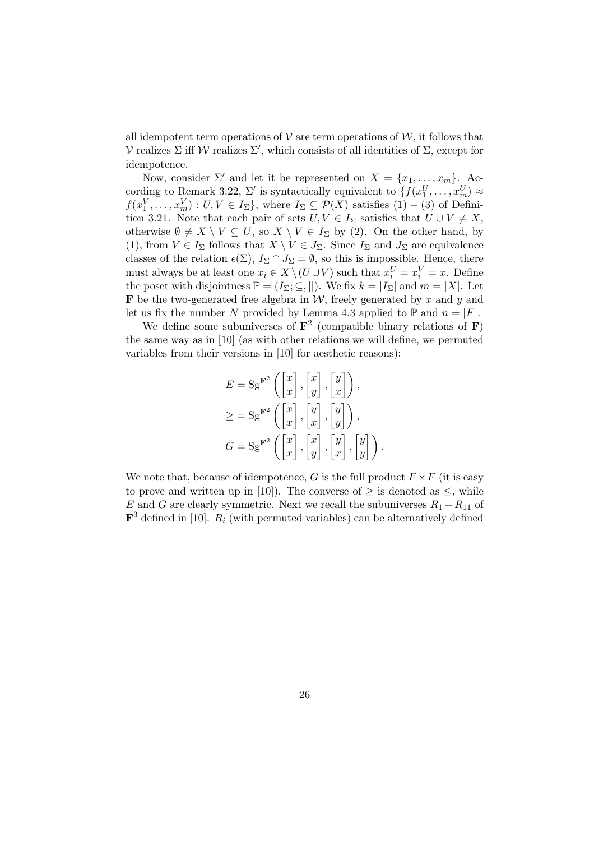all idempotent term operations of  $\mathcal V$  are term operations of  $\mathcal W$ , it follows that V realizes  $\Sigma$  iff W realizes  $\Sigma'$ , which consists of all identities of  $\Sigma$ , except for idempotence.

Now, consider  $\Sigma'$  and let it be represented on  $X = \{x_1, \ldots, x_m\}$ . According to Remark 3.22,  $\Sigma'$  is syntactically equivalent to  $\{f(x_1^U, \ldots, x_m^U) \approx$  $f(x_1^V, \ldots, x_m^V) : U, V \in I_\Sigma$ , where  $I_\Sigma \subseteq \mathcal{P}(X)$  satisfies  $(1) - (3)$  of Definition 3.21. Note that each pair of sets  $U, V \in I_{\Sigma}$  satisfies that  $U \cup V \neq X$ , otherwise  $\emptyset \neq X \setminus V \subseteq U$ , so  $X \setminus V \in I_{\Sigma}$  by (2). On the other hand, by (1), from  $V \in I_{\Sigma}$  follows that  $X \setminus V \in J_{\Sigma}$ . Since  $I_{\Sigma}$  and  $J_{\Sigma}$  are equivalence classes of the relation  $\epsilon(\Sigma)$ ,  $I_{\Sigma} \cap J_{\Sigma} = \emptyset$ , so this is impossible. Hence, there must always be at least one  $x_i \in X \setminus (U \cup V)$  such that  $x_i^U = x_i^V = x$ . Define the poset with disjointness  $\mathbb{P} = (I_{\Sigma}; \subseteq, ||)$ . We fix  $k = |I_{\Sigma}|$  and  $m = |X|$ . Let **F** be the two-generated free algebra in  $W$ , freely generated by x and y and let us fix the number N provided by Lemma 4.3 applied to  $\mathbb P$  and  $n = |F|$ .

We define some subuniverses of  $\mathbf{F}^2$  (compatible binary relations of  $\mathbf{F}$ ) the same way as in [10] (as with other relations we will define, we permuted variables from their versions in [10] for aesthetic reasons):

$$
E = \mathrm{Sg}^{\mathbf{F}^2} \left( \begin{bmatrix} x \\ x \end{bmatrix}, \begin{bmatrix} x \\ y \end{bmatrix}, \begin{bmatrix} y \\ x \end{bmatrix} \right),
$$
  
\n
$$
\geq = \mathrm{Sg}^{\mathbf{F}^2} \left( \begin{bmatrix} x \\ x \end{bmatrix}, \begin{bmatrix} y \\ x \end{bmatrix}, \begin{bmatrix} y \\ y \end{bmatrix} \right),
$$
  
\n
$$
G = \mathrm{Sg}^{\mathbf{F}^2} \left( \begin{bmatrix} x \\ x \end{bmatrix}, \begin{bmatrix} x \\ y \end{bmatrix}, \begin{bmatrix} y \\ x \end{bmatrix}, \begin{bmatrix} y \\ y \end{bmatrix} \right).
$$

We note that, because of idempotence, G is the full product  $F \times F$  (it is easy to prove and written up in [10]). The converse of  $\geq$  is denoted as  $\leq$ , while E and G are clearly symmetric. Next we recall the subuniverses  $R_1 - R_{11}$  of  $\mathbf{F}^3$  defined in [10].  $R_i$  (with permuted variables) can be alternatively defined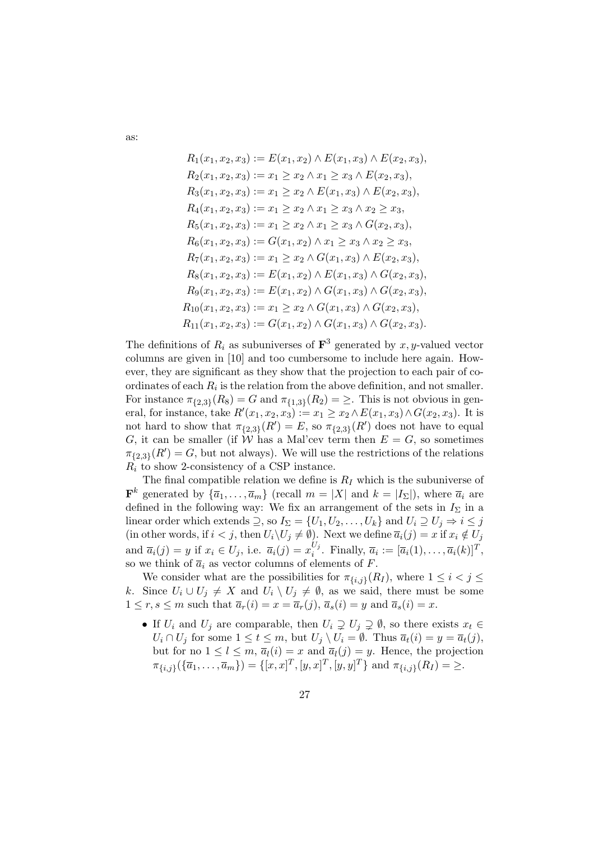$$
R_1(x_1, x_2, x_3) := E(x_1, x_2) \wedge E(x_1, x_3) \wedge E(x_2, x_3),
$$
  
\n
$$
R_2(x_1, x_2, x_3) := x_1 \ge x_2 \wedge x_1 \ge x_3 \wedge E(x_2, x_3),
$$
  
\n
$$
R_3(x_1, x_2, x_3) := x_1 \ge x_2 \wedge E(x_1, x_3) \wedge E(x_2, x_3),
$$
  
\n
$$
R_4(x_1, x_2, x_3) := x_1 \ge x_2 \wedge x_1 \ge x_3 \wedge x_2 \ge x_3,
$$
  
\n
$$
R_5(x_1, x_2, x_3) := x_1 \ge x_2 \wedge x_1 \ge x_3 \wedge G(x_2, x_3),
$$
  
\n
$$
R_6(x_1, x_2, x_3) := G(x_1, x_2) \wedge x_1 \ge x_3 \wedge x_2 \ge x_3,
$$
  
\n
$$
R_7(x_1, x_2, x_3) := x_1 \ge x_2 \wedge G(x_1, x_3) \wedge E(x_2, x_3),
$$
  
\n
$$
R_8(x_1, x_2, x_3) := E(x_1, x_2) \wedge E(x_1, x_3) \wedge G(x_2, x_3),
$$
  
\n
$$
R_9(x_1, x_2, x_3) := E(x_1, x_2) \wedge G(x_1, x_3) \wedge G(x_2, x_3),
$$
  
\n
$$
R_{10}(x_1, x_2, x_3) := x_1 \ge x_2 \wedge G(x_1, x_3) \wedge G(x_2, x_3),
$$
  
\n
$$
R_{11}(x_1, x_2, x_3) := G(x_1, x_2) \wedge G(x_1, x_3) \wedge G(x_2, x_3),
$$

The definitions of  $R_i$  as subuniverses of  $\mathbf{F}^3$  generated by x, y-valued vector columns are given in [10] and too cumbersome to include here again. However, they are significant as they show that the projection to each pair of coordinates of each  $R_i$  is the relation from the above definition, and not smaller. For instance  $\pi_{\{2,3\}}(R_8) = G$  and  $\pi_{\{1,3\}}(R_2) = \geq$ . This is not obvious in general, for instance, take  $R'(x_1, x_2, x_3) := x_1 \ge x_2 \wedge E(x_1, x_3) \wedge G(x_2, x_3)$ . It is not hard to show that  $\pi_{\{2,3\}}(R') = E$ , so  $\pi_{\{2,3\}}(R')$  does not have to equal G, it can be smaller (if W has a Mal'cev term then  $E = G$ , so sometimes  $\pi_{\{2,3\}}(R') = G$ , but not always). We will use the restrictions of the relations  $R_i$  to show 2-consistency of a CSP instance.

The final compatible relation we define is  $R_I$  which is the subuniverse of  $\mathbf{F}^k$  generated by  $\{\overline{a}_1, \ldots, \overline{a}_m\}$  (recall  $m = |X|$  and  $k = |I_{\Sigma}|$ ), where  $\overline{a}_i$  are defined in the following way: We fix an arrangement of the sets in  $I_{\Sigma}$  in a linear order which extends  $\supseteq$ , so  $I_{\Sigma} = \{U_1, U_2, \ldots, U_k\}$  and  $U_i \supseteq U_j \Rightarrow i \leq j$ (in other words, if  $i < j$ , then  $U_i\backslash U_j \neq \emptyset$ ). Next we define  $\overline{a}_i(j) = x$  if  $x_i \notin U_j$ and  $\overline{a}_i(j) = y$  if  $x_i \in U_j$ , i.e.  $\overline{a}_i(j) = x_i^{U_j}$  $\overline{a}_i^{U_j}$ . Finally,  $\overline{a}_i := [\overline{a}_i(1), \ldots, \overline{a}_i(k)]^T$ , so we think of  $\overline{a}_i$  as vector columns of elements of F.

We consider what are the possibilities for  $\pi_{\{i,j\}}(R_I)$ , where  $1 \leq i < j \leq$ k. Since  $U_i \cup U_j \neq X$  and  $U_i \setminus U_j \neq \emptyset$ , as we said, there must be some  $1 \le r, s \le m$  such that  $\overline{a}_r(i) = x = \overline{a}_r(j), \overline{a}_s(i) = y$  and  $\overline{a}_s(i) = x$ .

• If  $U_i$  and  $U_j$  are comparable, then  $U_i \supsetneq U_j \supsetneq \emptyset$ , so there exists  $x_t \in$  $U_i \cap U_j$  for some  $1 \leq t \leq m$ , but  $U_j \setminus U_i = \emptyset$ . Thus  $\overline{a}_t(i) = y = \overline{a}_t(j)$ , but for no  $1 \leq l \leq m$ ,  $\overline{a}_l(i) = x$  and  $\overline{a}_l(j) = y$ . Hence, the projection  $\pi_{\{i,j\}}(\{\overline{a}_1,\ldots,\overline{a}_m\}) = \{[x,x]^T,[y,x]^T,[y,y]^T\}$  and  $\pi_{\{i,j\}}(R_I) = \geq$ .

as: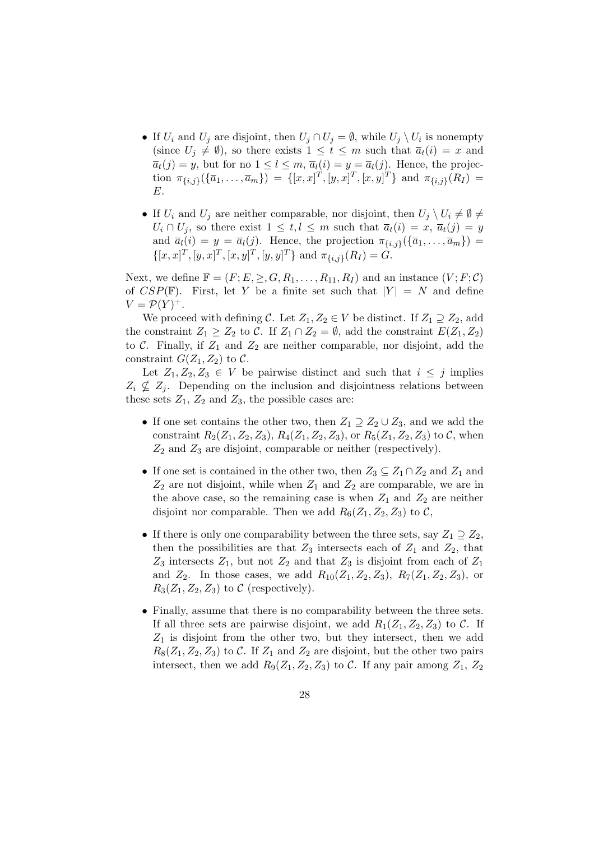- If  $U_i$  and  $U_j$  are disjoint, then  $U_j \cap U_j = \emptyset$ , while  $U_j \setminus U_i$  is nonempty (since  $U_i \neq \emptyset$ ), so there exists  $1 \leq t \leq m$  such that  $\overline{a}_t(i) = x$  and  $\overline{a}_{t}(j) = y$ , but for no  $1 \leq l \leq m$ ,  $\overline{a}_{l}(i) = y = \overline{a}_{l}(j)$ . Hence, the projection  $\pi_{\{i,j\}}(\{\overline{a}_1,\ldots,\overline{a}_m\}) = \{[x,x]^T,[y,x]^T,[x,y]^T\}$  and  $\pi_{\{i,j\}}(R_I) =$ E.
- If  $U_i$  and  $U_j$  are neither comparable, nor disjoint, then  $U_j \setminus U_i \neq \emptyset \neq \emptyset$  $U_i \cap U_j$ , so there exist  $1 \leq t, l \leq m$  such that  $\overline{a}_t(i) = x, \overline{a}_t(j) = y$ and  $\overline{a}_l(i) = y = \overline{a}_l(j)$ . Hence, the projection  $\pi_{\{i,j\}}(\{\overline{a}_1,\ldots,\overline{a}_m\}) =$  $\{[x, x]^T, [y, x]^T, [x, y]^T, [y, y]^T\}$  and  $\pi_{\{i, j\}}(R_I) = G$ .

Next, we define  $\mathbb{F} = (F; E, \geq, G, R_1, \ldots, R_{11}, R_I)$  and an instance  $(V; F; C)$ of  $CSP(\mathbb{F})$ . First, let Y be a finite set such that  $|Y| = N$  and define  $V = \mathcal{P}(Y)^+$ .

We proceed with defining C. Let  $Z_1, Z_2 \in V$  be distinct. If  $Z_1 \supseteq Z_2$ , add the constraint  $Z_1 \geq Z_2$  to C. If  $Z_1 \cap Z_2 = \emptyset$ , add the constraint  $E(Z_1, Z_2)$ to  $C$ . Finally, if  $Z_1$  and  $Z_2$  are neither comparable, nor disjoint, add the constraint  $G(Z_1, Z_2)$  to C.

Let  $Z_1, Z_2, Z_3 \in V$  be pairwise distinct and such that  $i \leq j$  implies  $Z_i \nsubseteq Z_j$ . Depending on the inclusion and disjointness relations between these sets  $Z_1$ ,  $Z_2$  and  $Z_3$ , the possible cases are:

- If one set contains the other two, then  $Z_1 \supseteq Z_2 \cup Z_3$ , and we add the constraint  $R_2(Z_1, Z_2, Z_3), R_4(Z_1, Z_2, Z_3)$ , or  $R_5(Z_1, Z_2, Z_3)$  to C, when  $Z_2$  and  $Z_3$  are disjoint, comparable or neither (respectively).
- If one set is contained in the other two, then  $Z_3 \subseteq Z_1 \cap Z_2$  and  $Z_1$  and  $Z_2$  are not disjoint, while when  $Z_1$  and  $Z_2$  are comparable, we are in the above case, so the remaining case is when  $Z_1$  and  $Z_2$  are neither disjoint nor comparable. Then we add  $R_6(Z_1, Z_2, Z_3)$  to C,
- If there is only one comparability between the three sets, say  $Z_1 \supseteq Z_2$ , then the possibilities are that  $Z_3$  intersects each of  $Z_1$  and  $Z_2$ , that  $Z_3$  intersects  $Z_1$ , but not  $Z_2$  and that  $Z_3$  is disjoint from each of  $Z_1$ and  $Z_2$ . In those cases, we add  $R_{10}(Z_1, Z_2, Z_3)$ ,  $R_7(Z_1, Z_2, Z_3)$ , or  $R_3(Z_1, Z_2, Z_3)$  to C (respectively).
- Finally, assume that there is no comparability between the three sets. If all three sets are pairwise disjoint, we add  $R_1(Z_1, Z_2, Z_3)$  to C. If  $Z_1$  is disjoint from the other two, but they intersect, then we add  $R_8(Z_1, Z_2, Z_3)$  to C. If  $Z_1$  and  $Z_2$  are disjoint, but the other two pairs intersect, then we add  $R_9(Z_1, Z_2, Z_3)$  to C. If any pair among  $Z_1, Z_2$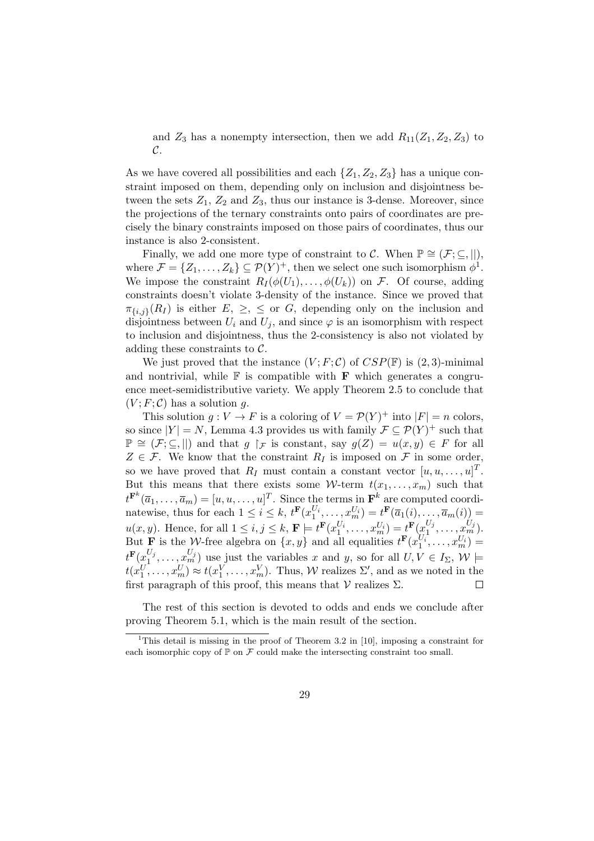and  $Z_3$  has a nonempty intersection, then we add  $R_{11}(Z_1, Z_2, Z_3)$  to C.

As we have covered all possibilities and each  $\{Z_1, Z_2, Z_3\}$  has a unique constraint imposed on them, depending only on inclusion and disjointness between the sets  $Z_1$ ,  $Z_2$  and  $Z_3$ , thus our instance is 3-dense. Moreover, since the projections of the ternary constraints onto pairs of coordinates are precisely the binary constraints imposed on those pairs of coordinates, thus our instance is also 2-consistent.

Finally, we add one more type of constraint to C. When  $\mathbb{P} \cong (\mathcal{F}; \subseteq, ||),$ where  $\mathcal{F} = \{Z_1, \ldots, Z_k\} \subseteq \mathcal{P}(Y)^+$ , then we select one such isomorphism  $\phi^1$ . We impose the constraint  $R_I(\phi(U_1), \ldots, \phi(U_k))$  on F. Of course, adding constraints doesn't violate 3-density of the instance. Since we proved that  $\pi_{\{i,j\}}(R_I)$  is either  $E, \geq, \leq$  or  $G$ , depending only on the inclusion and disjointness between  $U_i$  and  $U_j$ , and since  $\varphi$  is an isomorphism with respect to inclusion and disjointness, thus the 2-consistency is also not violated by adding these constraints to C.

We just proved that the instance  $(V; F; \mathcal{C})$  of  $CSP(\mathbb{F})$  is  $(2, 3)$ -minimal and nontrivial, while  $\mathbb F$  is compatible with  $\mathbf F$  which generates a congruence meet-semidistributive variety. We apply Theorem 2.5 to conclude that  $(V; F; \mathcal{C})$  has a solution g.

This solution  $g: V \to F$  is a coloring of  $V = \mathcal{P}(Y)^+$  into  $|F| = n$  colors, so since  $|Y| = N$ , Lemma 4.3 provides us with family  $\mathcal{F} \subseteq \mathcal{P}(Y)^+$  such that  $\mathbb{P} \cong (\mathcal{F}; \subseteq, ||)$  and that  $g \upharpoonright_{\mathcal{F}}$  is constant, say  $g(Z) = u(x, y) \in F$  for all  $Z \in \mathcal{F}$ . We know that the constraint  $R_I$  is imposed on  $\mathcal F$  in some order, so we have proved that  $R_I$  must contain a constant vector  $[u, u, \dots, u]^T$ . But this means that there exists some W-term  $t(x_1, \ldots, x_m)$  such that  $t^{\mathbf{F}^{k}}(\overline{a}_1,\ldots,\overline{a}_m)=[u,u,\ldots,u]^T.$  Since the terms in  $\mathbf{F}^{k}$  are computed coordinatewise, thus for each  $1 \leq i \leq k$ ,  $t^{\mathbf{F}}(x_1^{U_i}, \ldots, x_m^{U_i}) = t^{\mathbf{F}}(\overline{a}_1(i), \ldots, \overline{a}_m(i)) =$  $u(x, y)$ . Hence, for all  $1 \leq i, j \leq k$ ,  $\mathbf{F} \models t^{\mathbf{F}}(x_1^{U_i}, \dots, x_m^{U_i}) = t^{\mathbf{F}}(x_1^{U_i})$  $\frac{U_j}{1}, \ldots, \frac{U_j}{m}$ ). But **F** is the *W*-free algebra on  $\{x, y\}$  and all equalities  $t^{\mathbf{F}}(x_1^{U_i}, \dots, x_m^{U_i}) =$  $t^{\mathbf{F}}(x_1^{U_j}$  $u_1^{U_j}, \ldots, u_m^{U_j}$  use just the variables x and y, so for all  $U, V \in I_{\Sigma}$ ,  $W \models$  $t(x_1^U, \ldots, x_m^U) \approx t(x_1^V, \ldots, x_m^V)$ . Thus, W realizes  $\Sigma'$ , and as we noted in the first paragraph of this proof, this means that  $\mathcal V$  realizes  $\Sigma$ .  $\Box$ 

The rest of this section is devoted to odds and ends we conclude after proving Theorem 5.1, which is the main result of the section.

<sup>&</sup>lt;sup>1</sup>This detail is missing in the proof of Theorem 3.2 in [10], imposing a constraint for each isomorphic copy of  $\mathbb P$  on  $\mathcal F$  could make the intersecting constraint too small.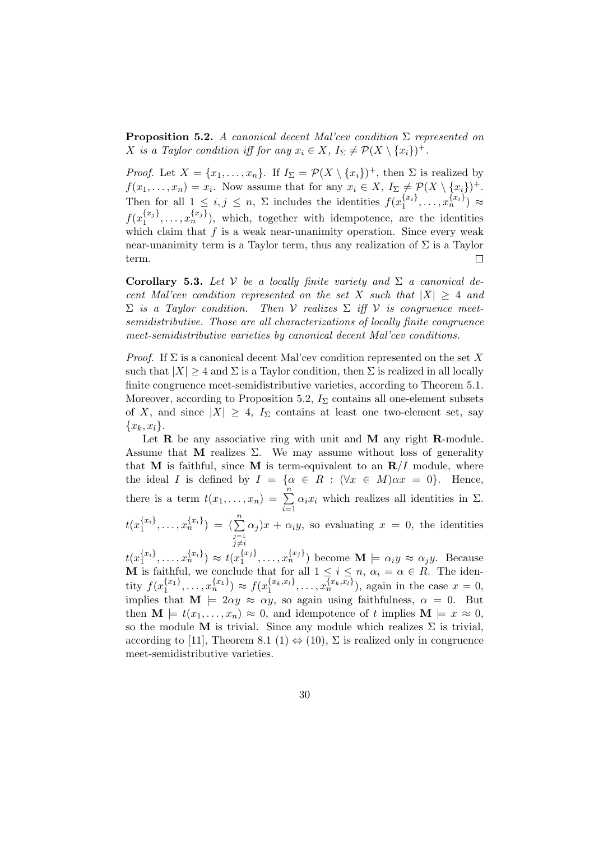**Proposition 5.2.** A canonical decent Mal'cev condition  $\Sigma$  represented on X is a Taylor condition iff for any  $x_i \in X$ ,  $I_{\Sigma} \neq \mathcal{P}(X \setminus \{x_i\})^+$ .

*Proof.* Let  $X = \{x_1, \ldots, x_n\}$ . If  $I_{\Sigma} = \mathcal{P}(X \setminus \{x_i\})^+$ , then  $\Sigma$  is realized by  $f(x_1,...,x_n) = x_i$ . Now assume that for any  $x_i \in X$ ,  $I_{\Sigma} \neq \mathcal{P}(X \setminus \{x_i\})^+$ . Then for all  $1 \leq i, j \leq n$ ,  $\Sigma$  includes the identities  $f(x_1^{\{x_i\}})$  $\{x_i\}, \ldots, x_n^{\{x_i\}}$ )  $\approx$  $f(x_1^{\{x_j\}})$  $\{x_j\}, \ldots, x_n^{\{x_j\}}$ , which, together with idempotence, are the identities which claim that  $f$  is a weak near-unanimity operation. Since every weak near-unanimity term is a Taylor term, thus any realization of  $\Sigma$  is a Taylor term. П

Corollary 5.3. Let V be a locally finite variety and  $\Sigma$  a canonical decent Mal'cev condition represented on the set X such that  $|X| \geq 4$  and  $\Sigma$  is a Taylor condition. Then V realizes  $\Sigma$  iff V is congruence meetsemidistributive. Those are all characterizations of locally finite congruence meet-semidistributive varieties by canonical decent Mal'cev conditions.

*Proof.* If  $\Sigma$  is a canonical decent Mal'cev condition represented on the set X such that  $|X| \geq 4$  and  $\Sigma$  is a Taylor condition, then  $\Sigma$  is realized in all locally finite congruence meet-semidistributive varieties, according to Theorem 5.1. Moreover, according to Proposition 5.2,  $I_{\Sigma}$  contains all one-element subsets of X, and since  $|X| \geq 4$ ,  $I_{\Sigma}$  contains at least one two-element set, say  ${x_k, x_l}.$ 

Let  $\bf{R}$  be any associative ring with unit and  $\bf{M}$  any right  $\bf{R}$ -module. Assume that M realizes  $\Sigma$ . We may assume without loss of generality that M is faithful, since M is term-equivalent to an  $R/I$  module, where the ideal I is defined by  $I = \{ \alpha \in R : (\forall x \in M) \alpha x = 0 \}.$  Hence, there is a term  $t(x_1, \ldots, x_n) = \sum_{i=1}^{n} \alpha_i x_i$  which realizes all identities in  $\Sigma$ .  $i=1$ 

 $t(x_{1}^{\{x_{i}\}})$  $\binom{\{x_i\}}{1}, \ldots, x_n^{\{x_i\}}$  =  $\left(\sum_{\substack{j=1 \ j \neq i}}^n\right)$  $\alpha_j$ ) $x + \alpha_i y$ , so evaluating  $x = 0$ , the identities

 $t(x_{1}^{\{x_{i}\}})$  $\{x_i\}, \ldots, x_n^{\{x_i\}}$   $\approx t(x_1^{\{x_j\}})$  $\{\x^{x_j}\}, \ldots, x^{x_j\}$  become  $\mathbf{M} \models \alpha_i y \approx \alpha_j y$ . Because **M** is faithful, we conclude that for all  $1 \leq i \leq n$ ,  $\alpha_i = \alpha \in R$ . The identity  $f(x_1^{\{x_1\}})$  $\{x_1\}, \ldots, x_n^{\{x_1\}}\rangle \approx f(x_1^{\{x_k, x_l\}}, \ldots, x_n^{\{x_k, x_l\}}),$  again in the case  $x = 0$ , implies that  $\mathbf{M} \models 2\alpha y \approx \alpha y$ , so again using faithfulness,  $\alpha = 0$ . But then  $\mathbf{M} \models t(x_1, \ldots, x_n) \approx 0$ , and idempotence of t implies  $\mathbf{M} \models x \approx 0$ , so the module M is trivial. Since any module which realizes  $\Sigma$  is trivial, according to [11], Theorem 8.1 (1)  $\Leftrightarrow$  (10),  $\Sigma$  is realized only in congruence meet-semidistributive varieties.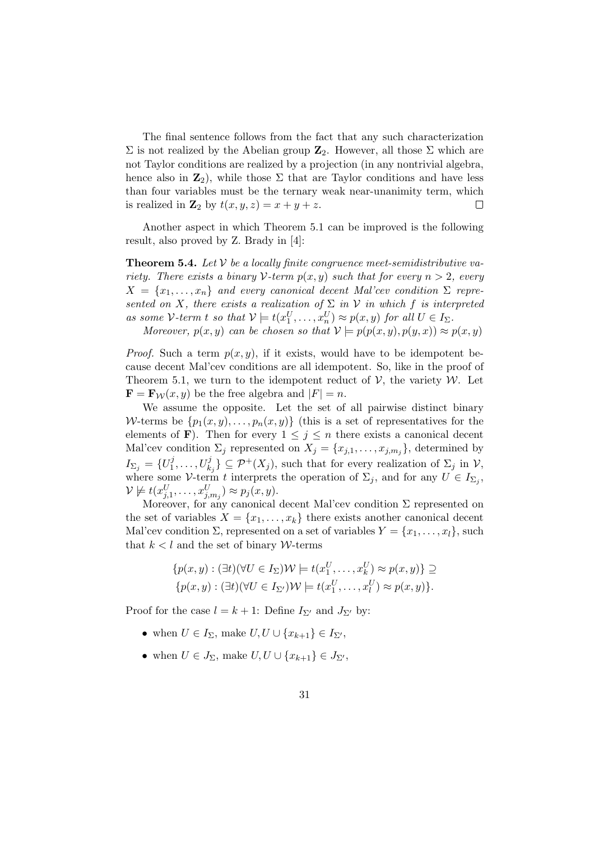The final sentence follows from the fact that any such characterization  $\Sigma$  is not realized by the Abelian group  $\mathbb{Z}_2$ . However, all those  $\Sigma$  which are not Taylor conditions are realized by a projection (in any nontrivial algebra, hence also in  $\mathbb{Z}_2$ , while those  $\Sigma$  that are Taylor conditions and have less than four variables must be the ternary weak near-unanimity term, which is realized in  $\mathbf{Z}_2$  by  $t(x, y, z) = x + y + z$ .  $\Box$ 

Another aspect in which Theorem 5.1 can be improved is the following result, also proved by Z. Brady in [4]:

**Theorem 5.4.** Let  $V$  be a locally finite congruence meet-semidistributive variety. There exists a binary V-term  $p(x, y)$  such that for every  $n > 2$ , every  $X = \{x_1, \ldots, x_n\}$  and every canonical decent Mal'cev condition  $\Sigma$  represented on X, there exists a realization of  $\Sigma$  in V in which f is interpreted as some V-term t so that  $V \models t(x_1^U, \ldots, x_n^U) \approx p(x, y)$  for all  $U \in I_{\Sigma}$ .

Moreover,  $p(x, y)$  can be chosen so that  $V \models p(p(x, y), p(y, x)) \approx p(x, y)$ 

*Proof.* Such a term  $p(x, y)$ , if it exists, would have to be idempotent because decent Mal'cev conditions are all idempotent. So, like in the proof of Theorem 5.1, we turn to the idempotent reduct of  $\mathcal{V}$ , the variety  $\mathcal{W}$ . Let  $\mathbf{F} = \mathbf{F}_{\mathcal{W}}(x, y)$  be the free algebra and  $|F| = n$ .

We assume the opposite. Let the set of all pairwise distinct binary W-terms be  $\{p_1(x, y), \ldots, p_n(x, y)\}\$  (this is a set of representatives for the elements of **F**). Then for every  $1 \leq j \leq n$  there exists a canonical decent Mal'cev condition  $\Sigma_j$  represented on  $X_j = \{x_{j,1}, \ldots, x_{j,m_j}\},$  determined by  $I_{\Sigma_j} = \{U^j_1$  $\{y_1^j, \ldots, U_{k_j}^j\} \subseteq \mathcal{P}^+(X_j)$ , such that for every realization of  $\Sigma_j$  in  $\mathcal{V}$ , where some V-term t interprets the operation of  $\Sigma_j$ , and for any  $U \in I_{\Sigma_j}$ ,  $\mathcal{V} \not\models t(x_{j,1}^U, \ldots, x_{j,m_j}^U) \approx p_j(x,y).$ 

Moreover, for any canonical decent Mal'cev condition  $\Sigma$  represented on the set of variables  $X = \{x_1, \ldots, x_k\}$  there exists another canonical decent Mal'cev condition  $\Sigma$ , represented on a set of variables  $Y = \{x_1, \ldots, x_l\}$ , such that  $k < l$  and the set of binary W-terms

$$
\{p(x,y): (\exists t)(\forall U \in I_{\Sigma})\mathcal{W} \models t(x_1^U, \dots, x_k^U) \approx p(x,y)\} \supseteq \{p(x,y): (\exists t)(\forall U \in I_{\Sigma'})\mathcal{W} \models t(x_1^U, \dots, x_l^U) \approx p(x,y)\}.
$$

Proof for the case  $l = k + 1$ : Define  $I_{\Sigma'}$  and  $J_{\Sigma'}$  by:

- when  $U \in I_{\Sigma}$ , make  $U, U \cup \{x_{k+1}\} \in I_{\Sigma'}$ ,
- when  $U \in J_{\Sigma}$ , make  $U, U \cup \{x_{k+1}\} \in J_{\Sigma'}$ ,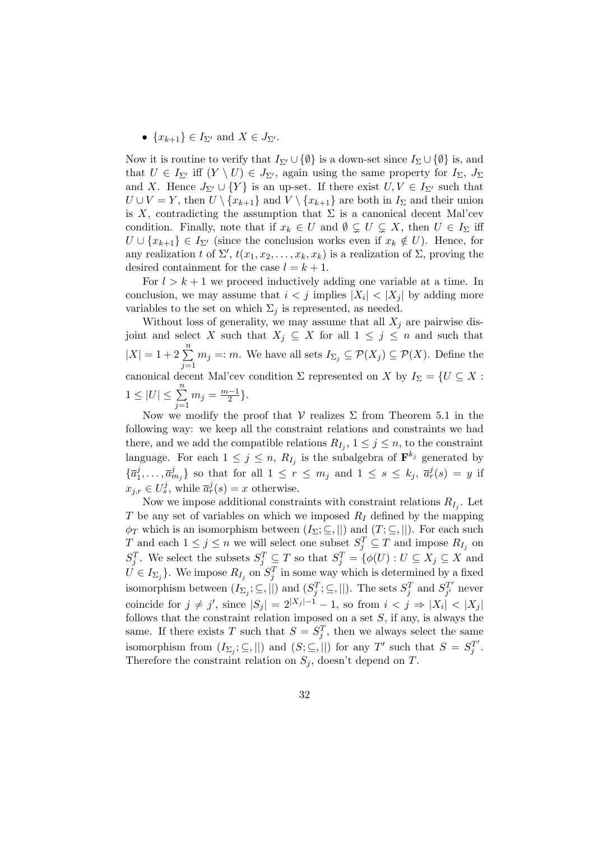#### •  $\{x_{k+1}\}\in I_{\Sigma'}$  and  $X\in J_{\Sigma'}$ .

Now it is routine to verify that  $I_{\Sigma'} \cup \{\emptyset\}$  is a down-set since  $I_{\Sigma} \cup \{\emptyset\}$  is, and that  $U \in I_{\Sigma'}$  iff  $(Y \setminus U) \in J_{\Sigma'}$ , again using the same property for  $I_{\Sigma}$ ,  $J_{\Sigma}$ and X. Hence  $J_{\Sigma'} \cup \{Y\}$  is an up-set. If there exist  $U, V \in I_{\Sigma'}$  such that  $U \cup V = Y$ , then  $U \setminus \{x_{k+1}\}\$  and  $V \setminus \{x_{k+1}\}\$  are both in  $I_{\Sigma}$  and their union is X, contradicting the assumption that  $\Sigma$  is a canonical decent Mal'cev condition. Finally, note that if  $x_k \in U$  and  $\emptyset \subsetneq U \subsetneq X$ , then  $U \in I_{\Sigma}$  iff  $U \cup \{x_{k+1}\} \in I_{\Sigma'}$  (since the conclusion works even if  $x_k \notin U$ ). Hence, for any realization t of  $\Sigma'$ ,  $t(x_1, x_2, \ldots, x_k, x_k)$  is a realization of  $\Sigma$ , proving the desired containment for the case  $l = k + 1$ .

For  $l > k + 1$  we proceed inductively adding one variable at a time. In conclusion, we may assume that  $i < j$  implies  $|X_i| < |X_j|$  by adding more variables to the set on which  $\Sigma_j$  is represented, as needed.

Without loss of generality, we may assume that all  $X_i$  are pairwise disjoint and select X such that  $X_j \subseteq X$  for all  $1 \leq j \leq n$  and such that  $|X| = 1 + 2 \sum_{n=1}^{n}$  $\sum_{j=1} m_j =: m$ . We have all sets  $I_{\Sigma_j} \subseteq \mathcal{P}(X_j) \subseteq \mathcal{P}(X)$ . Define the canonical decent Mal'cev condition  $\Sigma$  represented on X by  $I_{\Sigma} = \{U \subseteq X :$  $1 \leq |U| \leq \sum_{n=1}^{\infty}$  $j=1$  $m_j = \frac{m-1}{2}$  $\frac{-1}{2}$ .

Now we modify the proof that  $V$  realizes  $\Sigma$  from Theorem 5.1 in the following way: we keep all the constraint relations and constraints we had there, and we add the compatible relations  $R_{I_j}$ ,  $1 \leq j \leq n$ , to the constraint language. For each  $1 \leq j \leq n$ ,  $R_{I_j}$  is the subalgebra of  $\mathbf{F}^{k_j}$  generated by  $\{\overline{a}_1^j$  $\{\vec{a}_1, \ldots, \vec{a}_{m_j}^j\}$  so that for all  $1 \leq r \leq m_j$  and  $1 \leq s \leq k_j$ ,  $\overline{a}_r^j(s) = y$  if  $x_{j,r} \in U_s^j$ , while  $\overline{a}_r^j(s) = x$  otherwise.

Now we impose additional constraints with constraint relations  $R_{I_j}$ . Let  $T$  be any set of variables on which we imposed  $R_I$  defined by the mapping  $\phi_T$  which is an isomorphism between  $(I_{\Sigma}; \subseteq, ||)$  and  $(T; \subseteq, ||)$ . For each such T and each  $1 \leq j \leq n$  we will select one subset  $S_j^T \subseteq T$  and impose  $R_{I_j}$  on  $S_j^T$ . We select the subsets  $S_j^T \subseteq T$  so that  $S_j^T = \{ \phi(U) : U \subseteq X_j \subseteq X \text{ and }$  $U \in I_{\Sigma_j}$ . We impose  $R_{I_j}$  on  $S_j^T$  in some way which is determined by a fixed isomorphism between  $(I_{\Sigma_j}; \subseteq, ||)$  and  $(S_j^T; \subseteq, ||)$ . The sets  $S_j^T$  and  $S_{j'}^{T'}$  $j'$  never coincide for  $j \neq j'$ , since  $|S_j| = 2^{|X_j|-1} - 1$ , so from  $i < j \Rightarrow |X_i| < |X_j|$ follows that the constraint relation imposed on a set  $S$ , if any, is always the same. If there exists T such that  $S = S_j^T$ , then we always select the same isomorphism from  $(I_{\Sigma_j}; \subseteq, ||)$  and  $(S; \subseteq, ||)$  for any T' such that  $S = S_j^{T'}$  $_j^{T^{\prime}}.$ Therefore the constraint relation on  $S_i$ , doesn't depend on T.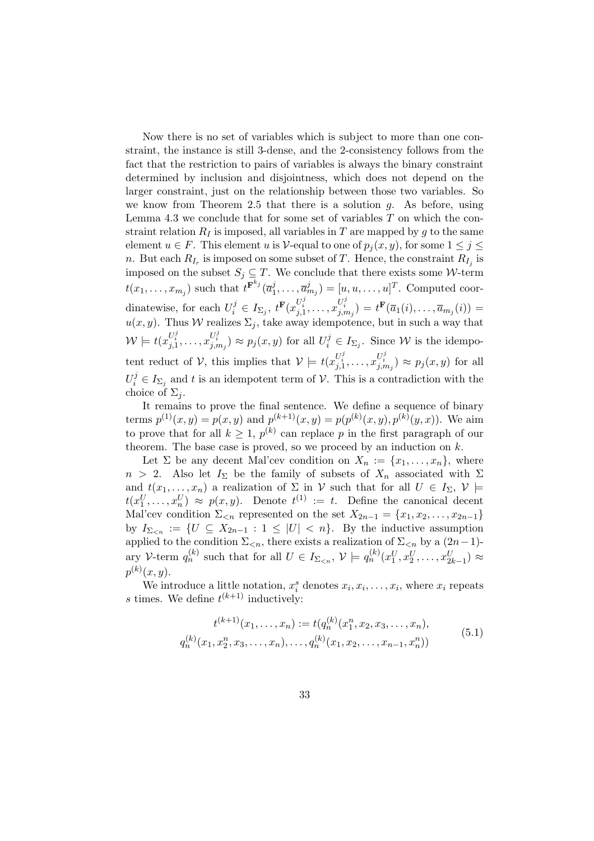Now there is no set of variables which is subject to more than one constraint, the instance is still 3-dense, and the 2-consistency follows from the fact that the restriction to pairs of variables is always the binary constraint determined by inclusion and disjointness, which does not depend on the larger constraint, just on the relationship between those two variables. So we know from Theorem 2.5 that there is a solution  $q$ . As before, using Lemma 4.3 we conclude that for some set of variables T on which the constraint relation  $R_I$  is imposed, all variables in T are mapped by g to the same element  $u \in F$ . This element u is V-equal to one of  $p_i(x, y)$ , for some  $1 \leq j \leq$ n. But each  $R_{I_r}$  is imposed on some subset of T. Hence, the constraint  $R_{I_j}$  is imposed on the subset  $S_j \subseteq T$ . We conclude that there exists some W-term  $t(x_1,\ldots,x_{m_j})$  such that  $t^{\mathbf{F}^{k_j}}(\overline{a}_1^j)$  $(\overline{a}_{1}^{j}, \ldots, \overline{a}_{m_{j}}^{j}) = [u, u, \ldots, u]^{T}$ . Computed coordinatewise, for each  $U_i^j \in I_{\Sigma_j}$ ,  $t^{\mathbf{F}}(x_{j,1}^{U_i^j}, \ldots, x_{j,m_j}^{U_i^j}) = t^{\mathbf{F}}(\overline{a}_1(i), \ldots, \overline{a}_{m_j}(i)) =$  $u(x, y)$ . Thus W realizes  $\Sigma_j$ , take away idempotence, but in such a way that  $\mathcal{W} \models t(x_{j,1}^{U_i^j}, \ldots, x_{j,m_j}^{U_i^j}) \approx p_j(x, y)$  for all  $U_i^j \in I_{\Sigma_j}$ . Since  $\mathcal{W}$  is the idempotent reduct of V, this implies that  $\mathcal{V} \models t(x_{j,1}^{U_i^j}, \ldots, x_{j,m_j}^{U_i^j}) \approx p_j(x, y)$  for all  $U_i^j \in I_{\Sigma_j}$  and t is an idempotent term of  $\mathcal V$ . This is a contradiction with the choice of  $\Sigma_i$ .

It remains to prove the final sentence. We define a sequence of binary terms  $p^{(1)}(x,y) = p(x,y)$  and  $p^{(k+1)}(x,y) = p(p^{(k)}(x,y), p^{(k)}(y,x))$ . We aim to prove that for all  $k \geq 1$ ,  $p^{(k)}$  can replace p in the first paragraph of our theorem. The base case is proved, so we proceed by an induction on  $k$ .

Let  $\Sigma$  be any decent Mal'cev condition on  $X_n := \{x_1, \ldots, x_n\}$ , where  $n > 2$ . Also let  $I_{\Sigma}$  be the family of subsets of  $X_n$  associated with  $\Sigma$ and  $t(x_1, \ldots, x_n)$  a realization of  $\Sigma$  in  $\mathcal V$  such that for all  $U \in I_{\Sigma}$ ,  $\mathcal V$   $\models$  $t(x_1^U, \ldots, x_n^U) \approx p(x, y)$ . Denote  $t^{(1)} := t$ . Define the canonical decent Mal'cev condition  $\Sigma_{\leq n}$  represented on the set  $X_{2n-1} = \{x_1, x_2, \ldots, x_{2n-1}\}\$ by  $I_{\Sigma_{\leq n}} := \{U \subseteq X_{2n-1} : 1 \leq |U| < n\}$ . By the inductive assumption applied to the condition  $\Sigma_{\leq n}$ , there exists a realization of  $\Sigma_{\leq n}$  by a  $(2n-1)$ ary V-term  $q_n^{(k)}$  such that for all  $U \in I_{\Sigma_{\le n}}, \, \mathcal{V} \models q_n^{(k)}(x_1^U, x_2^U, \ldots, x_{2k-1}^U) \approx$  $p^{(k)}(x, y)$ .

We introduce a little notation,  $x_i^s$  denotes  $x_i, x_i, \ldots, x_i$ , where  $x_i$  repeats s times. We define  $t^{(k+1)}$  inductively:

$$
t^{(k+1)}(x_1, \ldots, x_n) := t(q_n^{(k)}(x_1^n, x_2, x_3, \ldots, x_n),
$$
  
\n
$$
q_n^{(k)}(x_1, x_2^n, x_3, \ldots, x_n), \ldots, q_n^{(k)}(x_1, x_2, \ldots, x_{n-1}, x_n^n))
$$
\n(5.1)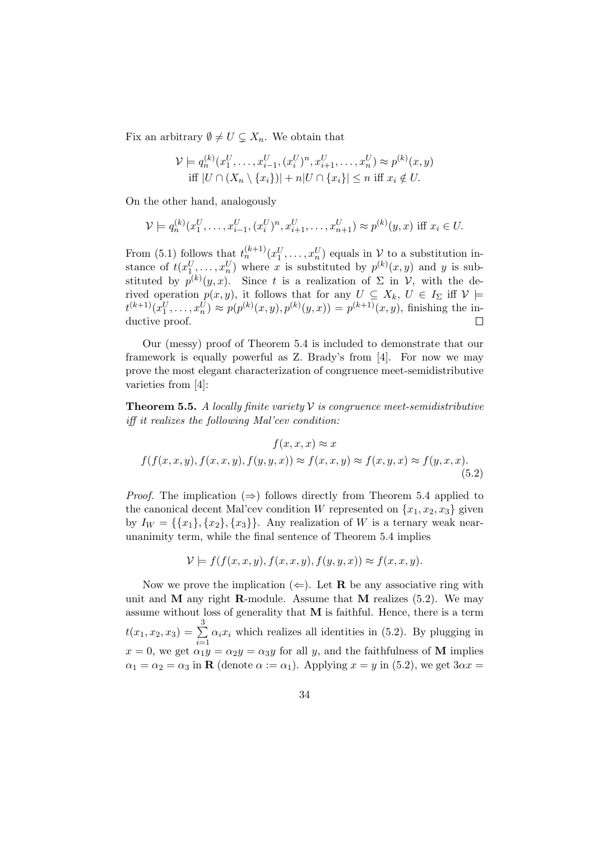Fix an arbitrary  $\emptyset \neq U \subsetneq X_n$ . We obtain that

$$
\mathcal{V} \models q_n^{(k)}(x_1^U, \dots, x_{i-1}^U, (x_i^U)^n, x_{i+1}^U, \dots, x_n^U) \approx p^{(k)}(x, y)
$$
  
iff  $|U \cap (X_n \setminus \{x_i\})| + n|U \cap \{x_i\}| \le n$  iff  $x_i \notin U$ .

On the other hand, analogously

$$
\mathcal{V} \models q_n^{(k)}(x_1^U, \dots, x_{i-1}^U, (x_i^U)^n, x_{i+1}^U, \dots, x_{n+1}^U) \approx p^{(k)}(y, x) \text{ iff } x_i \in U.
$$

From (5.1) follows that  $t_n^{(k+1)}(x_1^U,\ldots,x_n^U)$  equals in  $\mathcal V$  to a substitution instance of  $t(x_1^U, \ldots, x_n^U)$  where x is substituted by  $p^{(k)}(x, y)$  and y is substituted by  $p^{(k)}(y,x)$ . Since t is a realization of  $\Sigma$  in  $\mathcal{V}$ , with the derived operation  $p(x, y)$ , it follows that for any  $U \subseteq X_k$ ,  $U \in I_{\Sigma}$  iff  $V \models$  $t^{(k+1)}(x_1^U,\ldots,x_n^U) \approx p(p^{(k)}(x,y),p^{(k)}(y,x)) = p^{(k+1)}(x,y)$ , finishing the inductive proof.  $\Box$ 

Our (messy) proof of Theorem 5.4 is included to demonstrate that our framework is equally powerful as Z. Brady's from [4]. For now we may prove the most elegant characterization of congruence meet-semidistributive varieties from [4]:

**Theorem 5.5.** A locally finite variety  $V$  is congruence meet-semidistributive iff it realizes the following Mal'cev condition:

$$
f(x, x, x) \approx x
$$
  

$$
f(f(x, x, y), f(x, x, y), f(y, y, x)) \approx f(x, x, y) \approx f(x, y, x) \approx f(y, x, x).
$$
  
(5.2)

*Proof.* The implication  $(\Rightarrow)$  follows directly from Theorem 5.4 applied to the canonical decent Mal'cev condition W represented on  $\{x_1, x_2, x_3\}$  given by  $I_W = \{\{x_1\}, \{x_2\}, \{x_3\}\}\$ . Any realization of W is a ternary weak nearunanimity term, while the final sentence of Theorem 5.4 implies

$$
\mathcal{V} \models f(f(x, x, y), f(x, x, y), f(y, y, x)) \approx f(x, x, y).
$$

Now we prove the implication  $(\Leftarrow)$ . Let **R** be any associative ring with unit and  $M$  any right R-module. Assume that  $M$  realizes (5.2). We may assume without loss of generality that  $M$  is faithful. Hence, there is a term  $t(x_1, x_2, x_3) = \sum_{ }^{3}$  $i=1$  $\alpha_i x_i$  which realizes all identities in (5.2). By plugging in  $x = 0$ , we get  $\alpha_1 y = \alpha_2 y = \alpha_3 y$  for all y, and the faithfulness of M implies  $\alpha_1 = \alpha_2 = \alpha_3$  in **R** (denote  $\alpha := \alpha_1$ ). Applying  $x = y$  in (5.2), we get  $3\alpha x =$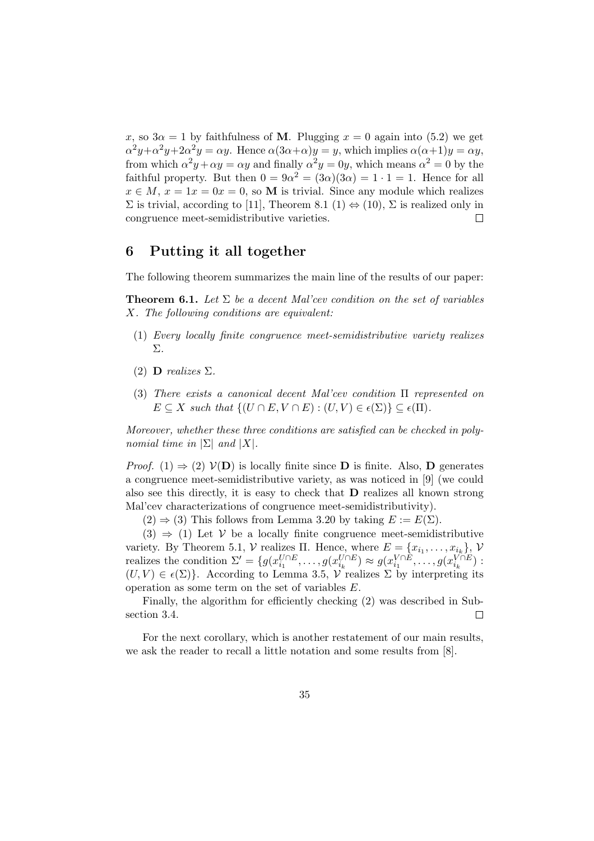x, so  $3\alpha = 1$  by faithfulness of M. Plugging  $x = 0$  again into (5.2) we get  $\alpha^2 y + \alpha^2 y + 2\alpha^2 y = \alpha y$ . Hence  $\alpha(3\alpha + \alpha)y = y$ , which implies  $\alpha(\alpha+1)y = \alpha y$ , from which  $\alpha^2 y + \alpha y = \alpha y$  and finally  $\alpha^2 y = 0y$ , which means  $\alpha^2 = 0$  by the faithful property. But then  $0 = 9\alpha^2 = (3\alpha)(3\alpha) = 1 \cdot 1 = 1$ . Hence for all  $x \in M$ ,  $x = 1x = 0x = 0$ , so M is trivial. Since any module which realizes  $\Sigma$  is trivial, according to [11], Theorem 8.1 (1)  $\Leftrightarrow$  (10),  $\Sigma$  is realized only in congruence meet-semidistributive varieties.  $\Box$ 

## 6 Putting it all together

The following theorem summarizes the main line of the results of our paper:

**Theorem 6.1.** Let  $\Sigma$  be a decent Mal'cev condition on the set of variables X. The following conditions are equivalent:

- (1) Every locally finite congruence meet-semidistributive variety realizes Σ.
- (2) **D** realizes  $\Sigma$ .
- (3) There exists a canonical decent Mal'cev condition Π represented on  $E \subseteq X$  such that  $\{(U \cap E, V \cap E) : (U, V) \in \epsilon(\Sigma)\} \subseteq \epsilon(\Pi)$ .

Moreover, whether these three conditions are satisfied can be checked in polynomial time in  $|\Sigma|$  and  $|X|$ .

*Proof.* (1)  $\Rightarrow$  (2)  $V(D)$  is locally finite since D is finite. Also, D generates a congruence meet-semidistributive variety, as was noticed in [9] (we could also see this directly, it is easy to check that D realizes all known strong Mal'cev characterizations of congruence meet-semidistributivity).

 $(2) \Rightarrow (3)$  This follows from Lemma 3.20 by taking  $E := E(\Sigma)$ .

 $(3) \Rightarrow (1)$  Let V be a locally finite congruence meet-semidistributive variety. By Theorem 5.1,  $V$  realizes  $\Pi$ . Hence, where  $E = \{x_{i_1}, \ldots, x_{i_k}\}\,$ ,  $V$ realizes the condition  $\Sigma' = \{g(x_{i_1}^{U \cap E}, \ldots, g(x_{i_k}^{U \cap E}) \approx g(x_{i_1}^{V \cap E}, \ldots, g(x_{i_k}^{V \cap E})\}$ .  $(U, V) \in \epsilon(\Sigma)$ . According to Lemma 3.5, V realizes  $\Sigma$  by interpreting its operation as some term on the set of variables E.

Finally, the algorithm for efficiently checking (2) was described in Subsection 3.4.  $\Box$ 

For the next corollary, which is another restatement of our main results, we ask the reader to recall a little notation and some results from [8].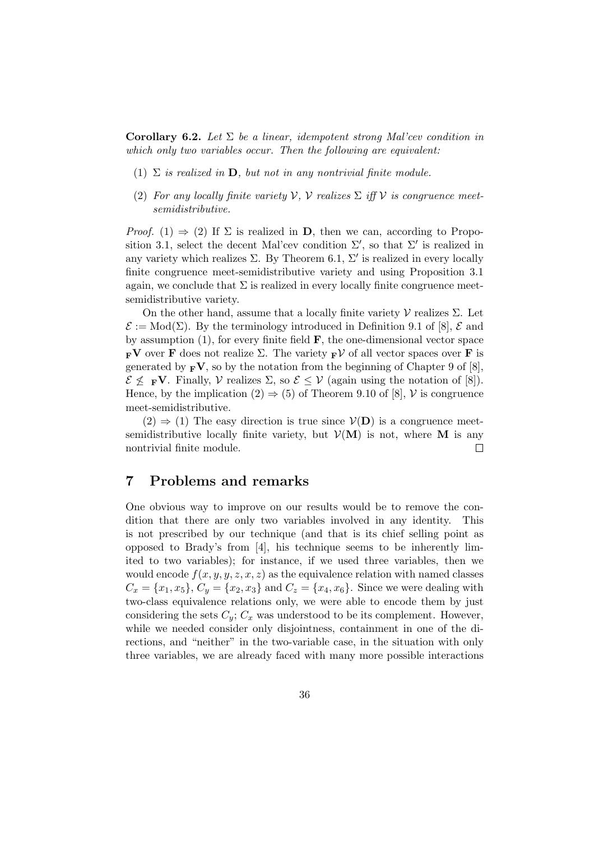Corollary 6.2. Let  $\Sigma$  be a linear, idempotent strong Mal'cev condition in which only two variables occur. Then the following are equivalent:

- (1)  $\Sigma$  is realized in **D**, but not in any nontrivial finite module.
- (2) For any locally finite variety  $V$ ,  $V$  realizes  $\Sigma$  iff  $V$  is congruence meetsemidistributive.

*Proof.* (1)  $\Rightarrow$  (2) If  $\Sigma$  is realized in **D**, then we can, according to Proposition 3.1, select the decent Mal'cev condition  $\Sigma'$ , so that  $\Sigma'$  is realized in any variety which realizes  $\Sigma$ . By Theorem 6.1,  $\Sigma'$  is realized in every locally finite congruence meet-semidistributive variety and using Proposition 3.1 again, we conclude that  $\Sigma$  is realized in every locally finite congruence meetsemidistributive variety.

On the other hand, assume that a locally finite variety  $\mathcal V$  realizes  $\Sigma$ . Let  $\mathcal{E} := Mod(\Sigma)$ . By the terminology introduced in Definition 9.1 of [8],  $\mathcal{E}$  and by assumption  $(1)$ , for every finite field **F**, the one-dimensional vector space  $_{\mathbf{F}}\mathbf{V}$  over **F** does not realize  $\Sigma$ . The variety  $_{\mathbf{F}}\mathcal{V}$  of all vector spaces over **F** is generated by  $_{\mathbf{F}}\mathbf{V}$ , so by the notation from the beginning of Chapter 9 of [8],  $\mathcal{E} \nleq \mathbf{F} \mathbf{V}$ . Finally,  $\mathcal{V}$  realizes  $\Sigma$ , so  $\mathcal{E} \leq \mathcal{V}$  (again using the notation of [8]). Hence, by the implication  $(2) \Rightarrow (5)$  of Theorem 9.10 of [8], V is congruence meet-semidistributive.

 $(2) \Rightarrow (1)$  The easy direction is true since  $V(D)$  is a congruence meetsemidistributive locally finite variety, but  $\mathcal{V}(\mathbf{M})$  is not, where M is any nontrivial finite module.  $\Box$ 

### 7 Problems and remarks

One obvious way to improve on our results would be to remove the condition that there are only two variables involved in any identity. This is not prescribed by our technique (and that is its chief selling point as opposed to Brady's from [4], his technique seems to be inherently limited to two variables); for instance, if we used three variables, then we would encode  $f(x, y, y, z, x, z)$  as the equivalence relation with named classes  $C_x = \{x_1, x_5\}, C_y = \{x_2, x_3\}$  and  $C_z = \{x_4, x_6\}.$  Since we were dealing with two-class equivalence relations only, we were able to encode them by just considering the sets  $C_v$ ;  $C_x$  was understood to be its complement. However, while we needed consider only disjointness, containment in one of the directions, and "neither" in the two-variable case, in the situation with only three variables, we are already faced with many more possible interactions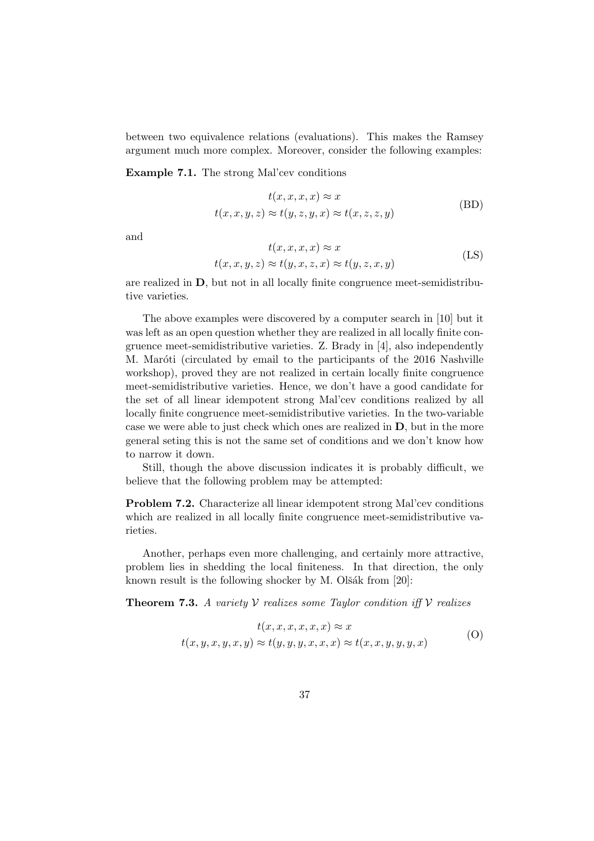between two equivalence relations (evaluations). This makes the Ramsey argument much more complex. Moreover, consider the following examples:

Example 7.1. The strong Mal'cev conditions

$$
t(x, x, x, x) \approx x
$$
  
\n
$$
t(x, x, y, z) \approx t(y, z, y, x) \approx t(x, z, z, y)
$$
 (BD)

and

$$
t(x, x, x, x) \approx x
$$
  
\n
$$
t(x, x, y, z) \approx t(y, x, z, x) \approx t(y, z, x, y)
$$
 (LS)

are realized in D, but not in all locally finite congruence meet-semidistributive varieties.

The above examples were discovered by a computer search in [10] but it was left as an open question whether they are realized in all locally finite congruence meet-semidistributive varieties. Z. Brady in [4], also independently M. Maróti (circulated by email to the participants of the 2016 Nashville workshop), proved they are not realized in certain locally finite congruence meet-semidistributive varieties. Hence, we don't have a good candidate for the set of all linear idempotent strong Mal'cev conditions realized by all locally finite congruence meet-semidistributive varieties. In the two-variable case we were able to just check which ones are realized in D, but in the more general seting this is not the same set of conditions and we don't know how to narrow it down.

Still, though the above discussion indicates it is probably difficult, we believe that the following problem may be attempted:

Problem 7.2. Characterize all linear idempotent strong Mal'cev conditions which are realized in all locally finite congruence meet-semidistributive varieties.

Another, perhaps even more challenging, and certainly more attractive, problem lies in shedding the local finiteness. In that direction, the only known result is the following shocker by M. Olšák from  $[20]$ :

**Theorem 7.3.** A variety  $V$  realizes some Taylor condition iff  $V$  realizes

$$
t(x, x, x, x, x, x) \approx x
$$
  
\n
$$
t(x, y, x, y, x, y) \approx t(y, y, y, x, x, x) \approx t(x, x, y, y, y, x)
$$
 (O)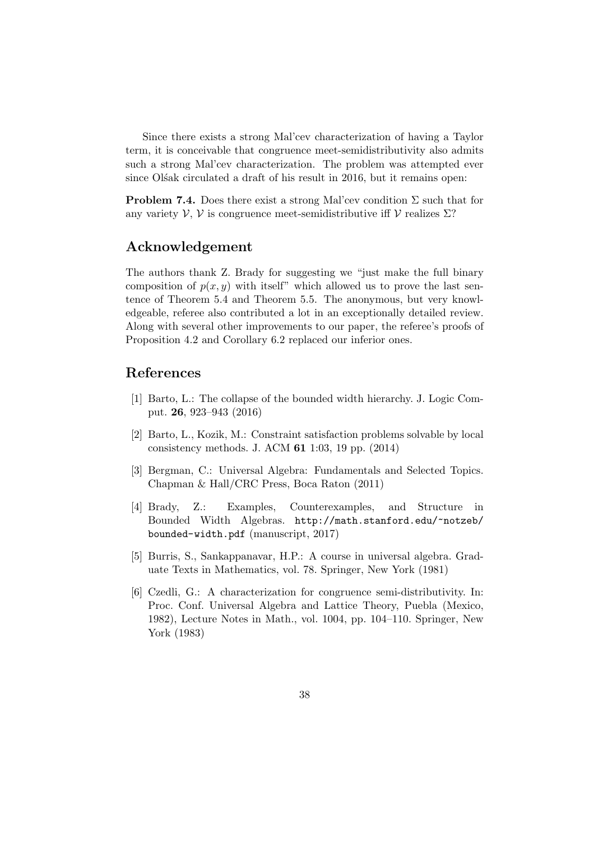Since there exists a strong Mal'cev characterization of having a Taylor term, it is conceivable that congruence meet-semidistributivity also admits such a strong Mal'cev characterization. The problem was attempted ever since Ol'sak circulated a draft of his result in 2016, but it remains open:

**Problem 7.4.** Does there exist a strong Mal'cev condition  $\Sigma$  such that for any variety  $\mathcal{V}, \mathcal{V}$  is congruence meet-semidistributive iff  $\mathcal{V}$  realizes  $\Sigma$ ?

## Acknowledgement

The authors thank Z. Brady for suggesting we "just make the full binary composition of  $p(x, y)$  with itself" which allowed us to prove the last sentence of Theorem 5.4 and Theorem 5.5. The anonymous, but very knowledgeable, referee also contributed a lot in an exceptionally detailed review. Along with several other improvements to our paper, the referee's proofs of Proposition 4.2 and Corollary 6.2 replaced our inferior ones.

## References

- [1] Barto, L.: The collapse of the bounded width hierarchy. J. Logic Comput. 26, 923–943 (2016)
- [2] Barto, L., Kozik, M.: Constraint satisfaction problems solvable by local consistency methods. J. ACM 61 1:03, 19 pp. (2014)
- [3] Bergman, C.: Universal Algebra: Fundamentals and Selected Topics. Chapman & Hall/CRC Press, Boca Raton (2011)
- [4] Brady, Z.: Examples, Counterexamples, and Structure in Bounded Width Algebras. http://math.stanford.edu/~notzeb/ bounded-width.pdf (manuscript, 2017)
- [5] Burris, S., Sankappanavar, H.P.: A course in universal algebra. Graduate Texts in Mathematics, vol. 78. Springer, New York (1981)
- [6] Czedli, G.: A characterization for congruence semi-distributivity. In: Proc. Conf. Universal Algebra and Lattice Theory, Puebla (Mexico, 1982), Lecture Notes in Math., vol. 1004, pp. 104–110. Springer, New York (1983)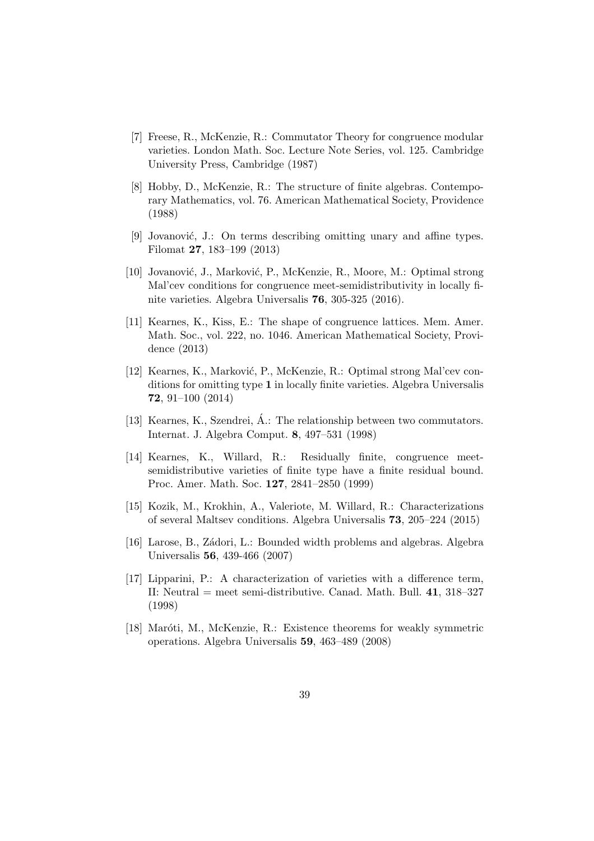- [7] Freese, R., McKenzie, R.: Commutator Theory for congruence modular varieties. London Math. Soc. Lecture Note Series, vol. 125. Cambridge University Press, Cambridge (1987)
- [8] Hobby, D., McKenzie, R.: The structure of finite algebras. Contemporary Mathematics, vol. 76. American Mathematical Society, Providence (1988)
- [9] Jovanović, J.: On terms describing omitting unary and affine types. Filomat 27, 183–199 (2013)
- [10] Jovanović, J., Marković, P., McKenzie, R., Moore, M.: Optimal strong Mal'cev conditions for congruence meet-semidistributivity in locally finite varieties. Algebra Universalis 76, 305-325 (2016).
- [11] Kearnes, K., Kiss, E.: The shape of congruence lattices. Mem. Amer. Math. Soc., vol. 222, no. 1046. American Mathematical Society, Providence (2013)
- [12] Kearnes, K., Marković, P., McKenzie, R.: Optimal strong Mal'cev conditions for omitting type 1 in locally finite varieties. Algebra Universalis 72, 91–100 (2014)
- [13] Kearnes, K., Szendrei, Á.: The relationship between two commutators. Internat. J. Algebra Comput. 8, 497–531 (1998)
- [14] Kearnes, K., Willard, R.: Residually finite, congruence meetsemidistributive varieties of finite type have a finite residual bound. Proc. Amer. Math. Soc. 127, 2841–2850 (1999)
- [15] Kozik, M., Krokhin, A., Valeriote, M. Willard, R.: Characterizations of several Maltsev conditions. Algebra Universalis 73, 205–224 (2015)
- [16] Larose, B., Zádori, L.: Bounded width problems and algebras. Algebra Universalis 56, 439-466 (2007)
- [17] Lipparini, P.: A characterization of varieties with a difference term, II: Neutral = meet semi-distributive. Canad. Math. Bull. 41, 318–327 (1998)
- [18] Maróti, M., McKenzie, R.: Existence theorems for weakly symmetric operations. Algebra Universalis 59, 463–489 (2008)